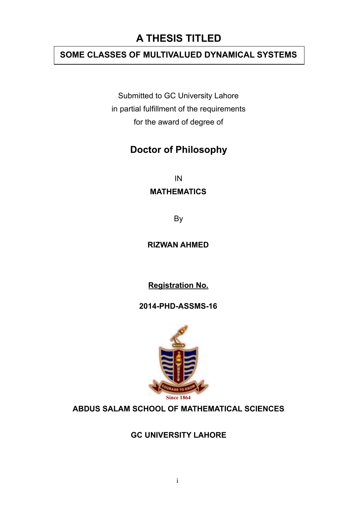### **A THESIS TITLED**

### **SOME CLASSES OF MULTIVALUED DYNAMICAL SYSTEMS**

Submitted to GC University Lahore in partial fulfillment of the requirements for the award of degree of

### **Doctor of Philosophy**

IN

#### **MATHEMATICS**

By

#### **RIZWAN AHMED**

**Registration No.** 

**2014-PHD-ASSMS-16**



#### **ABDUS SALAM SCHOOL OF MATHEMATICAL SCIENCES**

#### **GC UNIVERSITY LAHORE**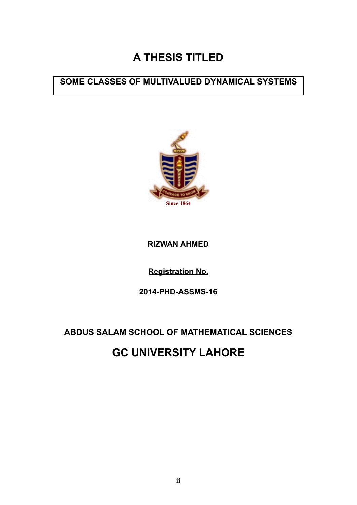## **A THESIS TITLED**

### **SOME CLASSES OF MULTIVALUED DYNAMICAL SYSTEMS SOME CLASSES OF MULTIVALUED DYNAMICAL SYSTEMS**



#### **RIZWAN AHMED**

**Registration No.** 

**2014-PHD-ASSMS-16**

### **ABDUS SALAM SCHOOL OF MATHEMATICAL SCIENCES**

### **GC UNIVERSITY LAHORE**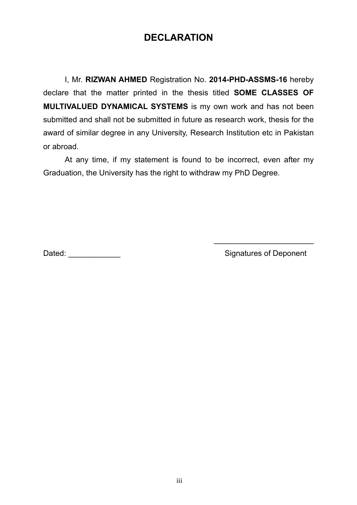### **DECLARATION**

I, Mr. **RIZWAN AHMED** Registration No. **2014-PHD-ASSMS-16** hereby declare that the matter printed in the thesis titled **SOME CLASSES OF MULTIVALUED DYNAMICAL SYSTEMS** is my own work and has not been submitted and shall not be submitted in future as research work, thesis for the award of similar degree in any University, Research Institution etc in Pakistan or abroad.

At any time, if my statement is found to be incorrect, even after my Graduation, the University has the right to withdraw my PhD Degree.

Dated: \_\_\_\_\_\_\_\_\_\_\_\_ Signatures of Deponent

 $\overline{\phantom{a}}$  , which is a set of the set of the set of the set of the set of the set of the set of the set of the set of the set of the set of the set of the set of the set of the set of the set of the set of the set of th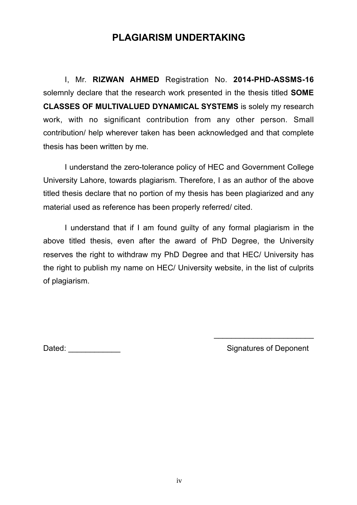### **PLAGIARISM UNDERTAKING**

I, Mr. **RIZWAN AHMED** Registration No. **2014-PHD-ASSMS-16** solemnly declare that the research work presented in the thesis titled **SOME CLASSES OF MULTIVALUED DYNAMICAL SYSTEMS** is solely my research work, with no significant contribution from any other person. Small contribution/ help wherever taken has been acknowledged and that complete thesis has been written by me.

I understand the zero-tolerance policy of HEC and Government College University Lahore, towards plagiarism. Therefore, I as an author of the above titled thesis declare that no portion of my thesis has been plagiarized and any material used as reference has been properly referred/ cited.

I understand that if I am found guilty of any formal plagiarism in the above titled thesis, even after the award of PhD Degree, the University reserves the right to withdraw my PhD Degree and that HEC/ University has the right to publish my name on HEC/ University website, in the list of culprits of plagiarism.

Dated: \_\_\_\_\_\_\_\_\_\_\_\_ Signatures of Deponent

 $\overline{\phantom{a}}$  , which is a set of the set of the set of the set of the set of the set of the set of the set of the set of the set of the set of the set of the set of the set of the set of the set of the set of the set of th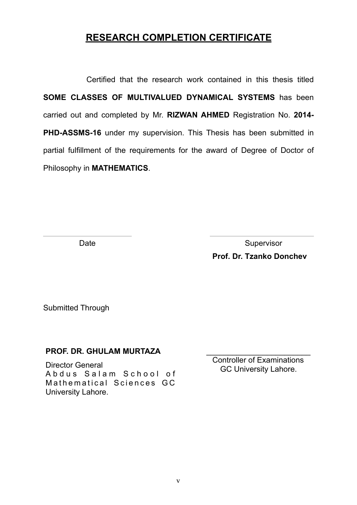### **RESEARCH COMPLETION CERTIFICATE**

Certified that the research work contained in this thesis titled **SOME CLASSES OF MULTIVALUED DYNAMICAL SYSTEMS** has been carried out and completed by Mr. **RIZWAN AHMED** Registration No. **2014- PHD-ASSMS-16** under my supervision. This Thesis has been submitted in partial fulfillment of the requirements for the award of Degree of Doctor of Philosophy in **MATHEMATICS**.

Date **Date Supervisor Prof. Dr. Tzanko Donchev**

Submitted Through

#### **PROF. DR. GHULAM MURTAZA**

Director General Abdus Salam School of Mathematical Sciences GC University Lahore.

 $\overline{\phantom{a}}$  , and the set of the set of the set of the set of the set of the set of the set of the set of the set of the set of the set of the set of the set of the set of the set of the set of the set of the set of the s Controller of Examinations GC University Lahore.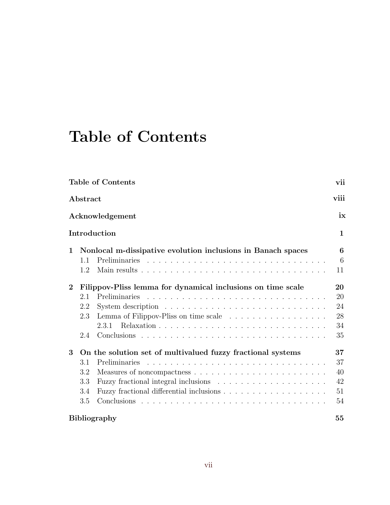# Table of Contents

| <b>Table of Contents</b><br>Abstract |                                                              |               | vii<br>viii  |
|--------------------------------------|--------------------------------------------------------------|---------------|--------------|
|                                      |                                                              |               |              |
|                                      |                                                              | Introduction  | $\mathbf{1}$ |
| $\mathbf 1$                          | Nonlocal m-dissipative evolution inclusions in Banach spaces |               | 6            |
|                                      | 1.1                                                          |               | 6            |
|                                      | 1.2                                                          |               | 11           |
| $\overline{2}$                       | Filippov-Pliss lemma for dynamical inclusions on time scale  |               | 20           |
|                                      | 2.1                                                          | Preliminaries | 20           |
|                                      | 2.2                                                          |               | 24           |
|                                      | 2.3                                                          |               | 28           |
|                                      |                                                              | 2.3.1         | 34           |
|                                      | 2.4                                                          |               | 35           |
| 3                                    | On the solution set of multivalued fuzzy fractional systems  |               | 37           |
|                                      | 3.1                                                          | Preliminaries | 37           |
|                                      | 3.2                                                          |               | 40           |
|                                      | 3.3                                                          |               | 42           |
|                                      | 3.4                                                          |               | 51           |
|                                      | 3.5                                                          |               | 54           |
|                                      | <b>Bibliography</b>                                          |               |              |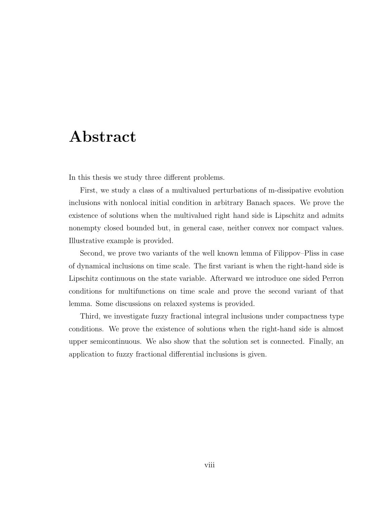## Abstract

In this thesis we study three different problems.

First, we study a class of a multivalued perturbations of m-dissipative evolution inclusions with nonlocal initial condition in arbitrary Banach spaces. We prove the existence of solutions when the multivalued right hand side is Lipschitz and admits nonempty closed bounded but, in general case, neither convex nor compact values. Illustrative example is provided.

Second, we prove two variants of the well known lemma of Filippov–Pliss in case of dynamical inclusions on time scale. The first variant is when the right-hand side is Lipschitz continuous on the state variable. Afterward we introduce one sided Perron conditions for multifunctions on time scale and prove the second variant of that lemma. Some discussions on relaxed systems is provided.

Third, we investigate fuzzy fractional integral inclusions under compactness type conditions. We prove the existence of solutions when the right-hand side is almost upper semicontinuous. We also show that the solution set is connected. Finally, an application to fuzzy fractional differential inclusions is given.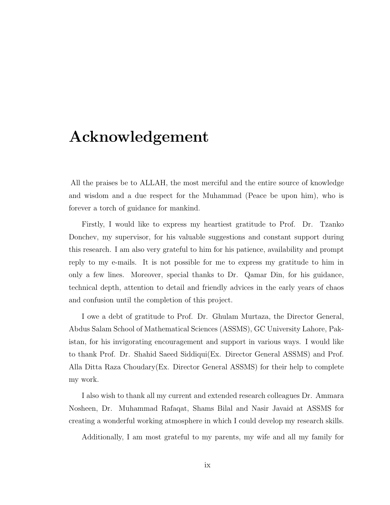## Acknowledgement

All the praises be to ALLAH, the most merciful and the entire source of knowledge and wisdom and a due respect for the Muhammad (Peace be upon him), who is forever a torch of guidance for mankind.

Firstly, I would like to express my heartiest gratitude to Prof. Dr. Tzanko Donchev, my supervisor, for his valuable suggestions and constant support during this research. I am also very grateful to him for his patience, availability and prompt reply to my e-mails. It is not possible for me to express my gratitude to him in only a few lines. Moreover, special thanks to Dr. Qamar Din, for his guidance, technical depth, attention to detail and friendly advices in the early years of chaos and confusion until the completion of this project.

I owe a debt of gratitude to Prof. Dr. Ghulam Murtaza, the Director General, Abdus Salam School of Mathematical Sciences (ASSMS), GC University Lahore, Pakistan, for his invigorating encouragement and support in various ways. I would like to thank Prof. Dr. Shahid Saeed Siddiqui(Ex. Director General ASSMS) and Prof. Alla Ditta Raza Choudary(Ex. Director General ASSMS) for their help to complete my work.

I also wish to thank all my current and extended research colleagues Dr. Ammara Nosheen, Dr. Muhammad Rafaqat, Shams Bilal and Nasir Javaid at ASSMS for creating a wonderful working atmosphere in which I could develop my research skills.

Additionally, I am most grateful to my parents, my wife and all my family for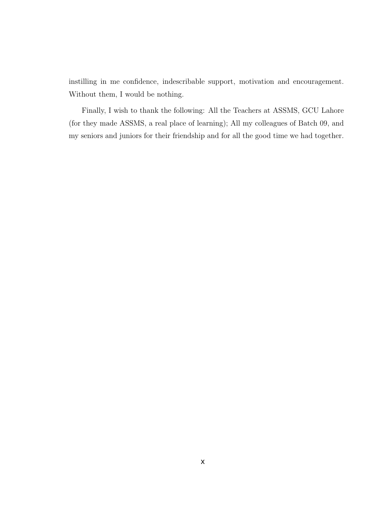instilling in me confidence, indescribable support, motivation and encouragement. Without them, I would be nothing.

Finally, I wish to thank the following: All the Teachers at ASSMS, GCU Lahore (for they made ASSMS, a real place of learning); All my colleagues of Batch 09, and my seniors and juniors for their friendship and for all the good time we had together.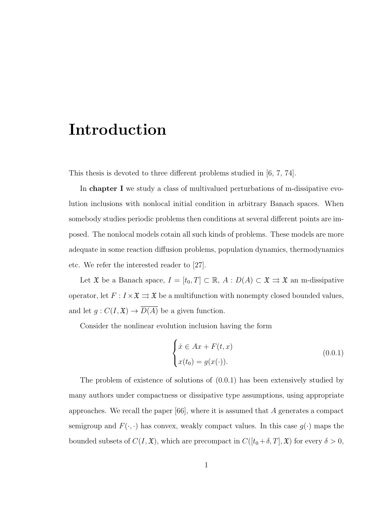## Introduction

This thesis is devoted to three different problems studied in [6, 7, 74].

In chapter I we study a class of multivalued perturbations of m-dissipative evolution inclusions with nonlocal initial condition in arbitrary Banach spaces. When somebody studies periodic problems then conditions at several different points are imposed. The nonlocal models cotain all such kinds of problems. These models are more adequate in some reaction diffusion problems, population dynamics, thermodynamics etc. We refer the interested reader to [27].

Let  $\mathfrak X$  be a Banach space,  $I = [t_0, T] \subset \mathbb R$ ,  $A : D(A) \subset \mathfrak X \rightrightarrows \mathfrak X$  an m-dissipative operator, let  $F: I \times \mathfrak{X} \rightrightarrows \mathfrak{X}$  be a multifunction with nonempty closed bounded values, and let  $g: C(I, \mathfrak{X}) \to \overline{D(A)}$  be a given function.

Consider the nonlinear evolution inclusion having the form

$$
\begin{cases}\n\dot{x} \in Ax + F(t, x) \\
x(t_0) = g(x(\cdot)).\n\end{cases} \tag{0.0.1}
$$

The problem of existence of solutions of (0.0.1) has been extensively studied by many authors under compactness or dissipative type assumptions, using appropriate approaches. We recall the paper  $[66]$ , where it is assumed that A generates a compact semigroup and  $F(\cdot,\cdot)$  has convex, weakly compact values. In this case  $g(\cdot)$  maps the bounded subsets of  $C(I, \mathfrak{X})$ , which are precompact in  $C([t_0 + \delta, T], \mathfrak{X})$  for every  $\delta > 0$ ,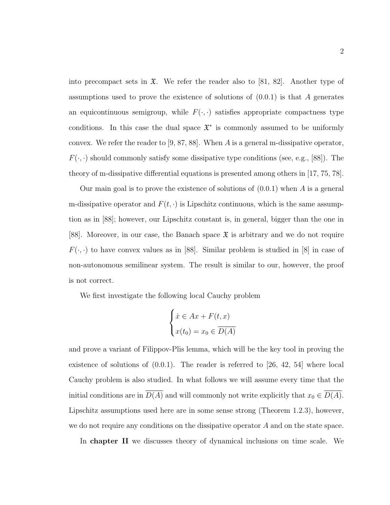into precompact sets in  $\mathfrak{X}$ . We refer the reader also to [81, 82]. Another type of assumptions used to prove the existence of solutions of  $(0.0.1)$  is that A generates an equicontinuous semigroup, while  $F(\cdot, \cdot)$  satisfies appropriate compactness type conditions. In this case the dual space  $\mathfrak{X}^*$  is commonly assumed to be uniformly convex. We refer the reader to [9, 87, 88]. When A is a general m-dissipative operator,  $F(\cdot, \cdot)$  should commonly satisfy some dissipative type conditions (see, e.g., [88]). The theory of m-dissipative differential equations is presented among others in [17, 75, 78].

Our main goal is to prove the existence of solutions of  $(0.0.1)$  when A is a general m-dissipative operator and  $F(t, \cdot)$  is Lipschitz continuous, which is the same assumption as in [88]; however, our Lipschitz constant is, in general, bigger than the one in [88]. Moreover, in our case, the Banach space  $\mathfrak X$  is arbitrary and we do not require  $F(\cdot, \cdot)$  to have convex values as in [88]. Similar problem is studied in [8] in case of non-autonomous semilinear system. The result is similar to our, however, the proof is not correct.

We first investigate the following local Cauchy problem

$$
\begin{cases} \n\dot{x} \in Ax + F(t, x) \\
x(t_0) = x_0 \in \overline{D(A)}\n\end{cases}
$$

and prove a variant of Filippov-Plis lemma, which will be the key tool in proving the existence of solutions of  $(0.0.1)$ . The reader is referred to [26, 42, 54] where local Cauchy problem is also studied. In what follows we will assume every time that the initial conditions are in  $\overline{D(A)}$  and will commonly not write explicitly that  $x_0 \in \overline{D(A)}$ . Lipschitz assumptions used here are in some sense strong (Theorem 1.2.3), however, we do not require any conditions on the dissipative operator A and on the state space.

In chapter II we discusses theory of dynamical inclusions on time scale. We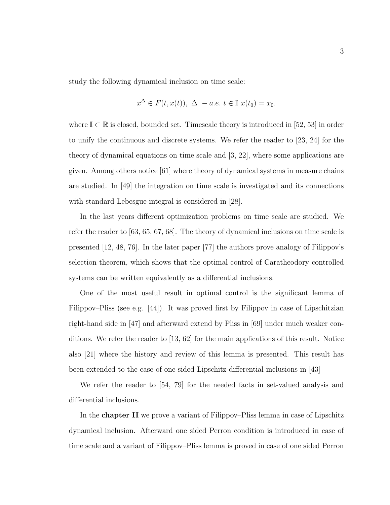study the following dynamical inclusion on time scale:

$$
x^{\Delta} \in F(t, x(t)), \ \Delta - a.e. \ t \in \mathbb{I} \ x(t_0) = x_0.
$$

where  $\mathbb{I} \subset \mathbb{R}$  is closed, bounded set. Timescale theory is introduced in [52, 53] in order to unify the continuous and discrete systems. We refer the reader to [23, 24] for the theory of dynamical equations on time scale and [3, 22], where some applications are given. Among others notice [61] where theory of dynamical systems in measure chains are studied. In [49] the integration on time scale is investigated and its connections with standard Lebesgue integral is considered in [28].

In the last years different optimization problems on time scale are studied. We refer the reader to [63, 65, 67, 68]. The theory of dynamical inclusions on time scale is presented [12, 48, 76]. In the later paper [77] the authors prove analogy of Filippov's selection theorem, which shows that the optimal control of Caratheodory controlled systems can be written equivalently as a differential inclusions.

One of the most useful result in optimal control is the significant lemma of Filippov–Pliss (see e.g. [44]). It was proved first by Filippov in case of Lipschitzian right-hand side in [47] and afterward extend by Pliss in [69] under much weaker conditions. We refer the reader to [13, 62] for the main applications of this result. Notice also [21] where the history and review of this lemma is presented. This result has been extended to the case of one sided Lipschitz differential inclusions in [43]

We refer the reader to [54, 79] for the needed facts in set-valued analysis and differential inclusions.

In the chapter II we prove a variant of Filippov–Pliss lemma in case of Lipschitz dynamical inclusion. Afterward one sided Perron condition is introduced in case of time scale and a variant of Filippov–Pliss lemma is proved in case of one sided Perron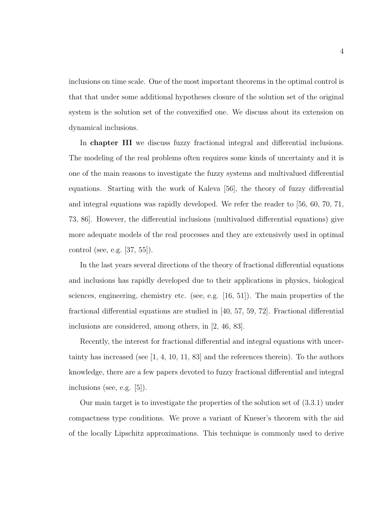inclusions on time scale. One of the most important theorems in the optimal control is that that under some additional hypotheses closure of the solution set of the original system is the solution set of the convexified one. We discuss about its extension on dynamical inclusions.

In chapter III we discuss fuzzy fractional integral and differential inclusions. The modeling of the real problems often requires some kinds of uncertainty and it is one of the main reasons to investigate the fuzzy systems and multivalued differential equations. Starting with the work of Kaleva [56], the theory of fuzzy differential and integral equations was rapidly developed. We refer the reader to [56, 60, 70, 71, 73, 86]. However, the differential inclusions (multivalued differential equations) give more adequate models of the real processes and they are extensively used in optimal control (see, e.g. [37, 55]).

In the last years several directions of the theory of fractional differential equations and inclusions has rapidly developed due to their applications in physics, biological sciences, engineering, chemistry etc. (see, e.g. [16, 51]). The main properties of the fractional differential equations are studied in [40, 57, 59, 72]. Fractional differential inclusions are considered, among others, in [2, 46, 83].

Recently, the interest for fractional differential and integral equations with uncertainty has increased (see  $[1, 4, 10, 11, 83]$  and the references therein). To the authors knowledge, there are a few papers devoted to fuzzy fractional differential and integral inclusions (see, e.g. [5]).

Our main target is to investigate the properties of the solution set of (3.3.1) under compactness type conditions. We prove a variant of Kneser's theorem with the aid of the locally Lipschitz approximations. This technique is commonly used to derive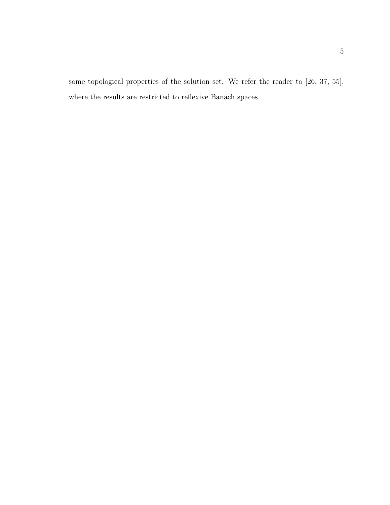some topological properties of the solution set. We refer the reader to [26, 37, 55], where the results are restricted to reflexive Banach spaces.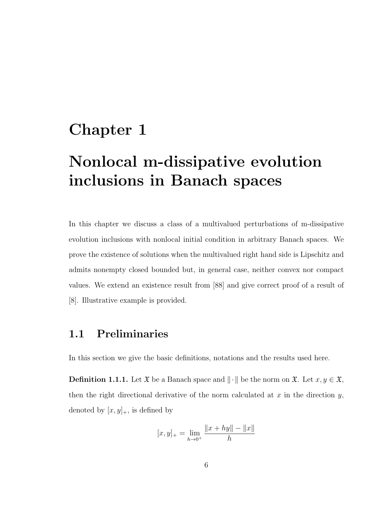## Chapter 1

# Nonlocal m-dissipative evolution inclusions in Banach spaces

In this chapter we discuss a class of a multivalued perturbations of m-dissipative evolution inclusions with nonlocal initial condition in arbitrary Banach spaces. We prove the existence of solutions when the multivalued right hand side is Lipschitz and admits nonempty closed bounded but, in general case, neither convex nor compact values. We extend an existence result from [88] and give correct proof of a result of [8]. Illustrative example is provided.

#### 1.1 Preliminaries

In this section we give the basic definitions, notations and the results used here.

**Definition 1.1.1.** Let  $\mathfrak{X}$  be a Banach space and  $\|\cdot\|$  be the norm on  $\mathfrak{X}$ . Let  $x, y \in \mathfrak{X}$ , then the right directional derivative of the norm calculated at  $x$  in the direction  $y$ , denoted by  $[x, y]_+$ , is defined by

$$
[x, y]_+ = \lim_{h \to 0^+} \frac{||x + hy|| - ||x||}{h}
$$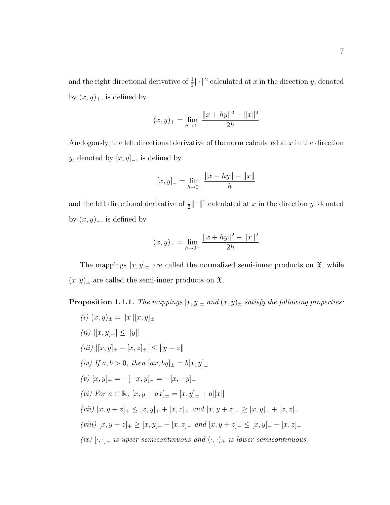and the right directional derivative of  $\frac{1}{2} \|\cdot\|^2$  calculated at x in the direction y, denoted by  $(x, y)_+$ , is defined by

$$
(x, y)_{+} = \lim_{h \to 0^{+}} \frac{\|x + hy\|^{2} - \|x\|^{2}}{2h}
$$

Analogously, the left directional derivative of the norm calculated at  $x$  in the direction y, denoted by  $[x, y]_-,$  is defined by

$$
[x, y]_{-} = \lim_{h \to 0^{-}} \frac{\|x + hy\| - \|x\|}{h}
$$

and the left directional derivative of  $\frac{1}{2} \|\cdot\|^2$  calculated at x in the direction y, denoted by  $(x, y)$ <sub>-</sub>, is defined by

$$
(x,y)_{-} = \lim_{h \to 0^{-}} \frac{\|x + hy\|^{2} - \|x\|^{2}}{2h}
$$

The mappings  $[x, y]_{\pm}$  are called the normalized semi-inner products on  $\mathfrak{X}$ , while  $(x, y)_\pm$  are called the semi-inner products on  $\mathfrak{X}$ .

**Proposition 1.1.1.** The mappings  $[x, y]_{\pm}$  and  $(x, y)_{\pm}$  satisfy the following properties:

(i) 
$$
(x, y)_{\pm} = ||x||[x, y]_{\pm}
$$
  
\n(ii)  $||[x, y]_{\pm}| \le ||y||$   
\n(iii)  $||[x, y]_{\pm} - [x, z]_{\pm}| \le ||y - z||$   
\n(iv) If  $a, b > 0$ , then  $[ax, by]_{\pm} = b[x, y]_{\pm}$   
\n(v)  $[x, y]_{+} = -[-x, y]_{-} = -[x, -y]_{-}$   
\n(vi) For  $a \in \mathbb{R}$ ,  $[x, y + ax]_{\pm} = [x, y]_{\pm} + a||x||$   
\n(vii)  $[x, y + z]_{+} \le [x, y]_{+} + [x, z]_{+}$  and  $[x, y + z]_{-} \ge [x, y]_{-} + [x, z]_{-}$   
\n(viii)  $[x, y + z]_{+} \ge [x, y]_{+} + [x, z]_{-}$  and  $[x, y + z]_{-} \le [x, y]_{-} - [x, z]_{+}$   
\n(ix)  $[\cdot, \cdot]_{\pm}$  is upper semicontinuous and  $(\cdot, \cdot)_{\pm}$  is lower semicontinuous.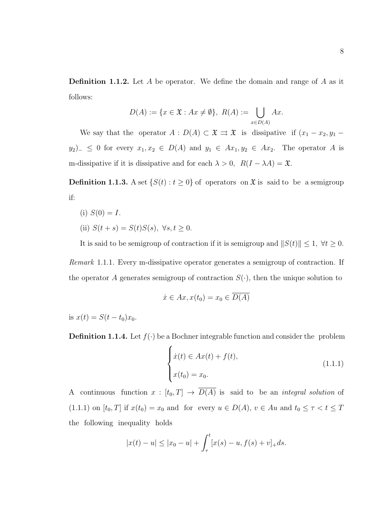**Definition 1.1.2.** Let A be operator. We define the domain and range of A as it follows:

$$
D(A) := \{ x \in \mathfrak{X} : Ax \neq \emptyset \}, R(A) := \bigcup_{x \in D(A)} Ax.
$$

We say that the operator  $A : D(A) \subset \mathfrak{X} \rightrightarrows \mathfrak{X}$  is dissipative if  $(x_1 - x_2, y_1 - x_2)$  $y_2$ )<sub>−</sub> ≤ 0 for every  $x_1, x_2 \in D(A)$  and  $y_1 \in Ax_1, y_2 \in Ax_2$ . The operator A is m-dissipative if it is dissipative and for each  $\lambda > 0$ ,  $R(I - \lambda A) = \mathfrak{X}$ .

**Definition 1.1.3.** A set  $\{S(t): t \geq 0\}$  of operators on  $\mathfrak{X}$  is said to be a semigroup if:

(i)  $S(0) = I$ . (ii)  $S(t + s) = S(t)S(s), \ \forall s, t \ge 0.$ 

It is said to be semigroup of contraction if it is semigroup and  $||S(t)|| \leq 1$ ,  $\forall t \geq 0$ .

Remark 1.1.1. Every m-dissipative operator generates a semigroup of contraction. If the operator A generates semigroup of contraction  $S(\cdot)$ , then the unique solution to

$$
\dot{x} \in Ax, x(t_0) = x_0 \in \overline{D(A)}
$$

is  $x(t) = S(t - t_0)x_0$ .

**Definition 1.1.4.** Let  $f(\cdot)$  be a Bochner integrable function and consider the problem

$$
\begin{cases}\n\dot{x}(t) \in Ax(t) + f(t), \\
x(t_0) = x_0.\n\end{cases}
$$
\n(1.1.1)

A continuous function  $x : [t_0, T] \to \overline{D(A)}$  is said to be an *integral solution* of (1.1.1) on  $[t_0, T]$  if  $x(t_0) = x_0$  and for every  $u \in D(A)$ ,  $v \in Au$  and  $t_0 \leq \tau < t \leq T$ the following inequality holds

$$
|x(t) - u| \le |x_0 - u| + \int_{\tau}^{t} [x(s) - u, f(s) + v]_{+} ds.
$$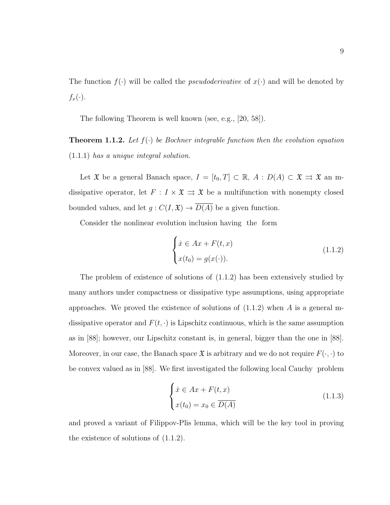The function  $f(\cdot)$  will be called the *pseudoderivative* of  $x(\cdot)$  and will be denoted by  $f_x(\cdot).$ 

The following Theorem is well known (see, e.g., [20, 58]).

**Theorem 1.1.2.** Let  $f(\cdot)$  be Bochner integrable function then the evolution equation (1.1.1) has a unique integral solution.

Let  $\mathfrak X$  be a general Banach space,  $I = [t_0, T] \subset \mathbb R$ ,  $A : D(A) \subset \mathfrak X \rightrightarrows \mathfrak X$  an mdissipative operator, let  $F : I \times \mathfrak{X} \Rightarrow \mathfrak{X}$  be a multifunction with nonempty closed bounded values, and let  $g: C(I, \mathfrak{X}) \to \overline{D(A)}$  be a given function.

Consider the nonlinear evolution inclusion having the form

$$
\begin{cases}\n\dot{x} \in Ax + F(t, x) \\
x(t_0) = g(x(\cdot)).\n\end{cases} (1.1.2)
$$

The problem of existence of solutions of (1.1.2) has been extensively studied by many authors under compactness or dissipative type assumptions, using appropriate approaches. We proved the existence of solutions of  $(1.1.2)$  when A is a general mdissipative operator and  $F(t, \cdot)$  is Lipschitz continuous, which is the same assumption as in [88]; however, our Lipschitz constant is, in general, bigger than the one in [88]. Moreover, in our case, the Banach space  $\mathfrak X$  is arbitrary and we do not require  $F(\cdot, \cdot)$  to be convex valued as in [88]. We first investigated the following local Cauchy iproblem

$$
\begin{cases}\n\dot{x} \in Ax + F(t, x) \\
x(t_0) = x_0 \in \overline{D(A)}\n\end{cases} (1.1.3)
$$

and proved a variant of Filippov-Plis lemma, which will be the key tool in proving the existence of solutions of (1.1.2).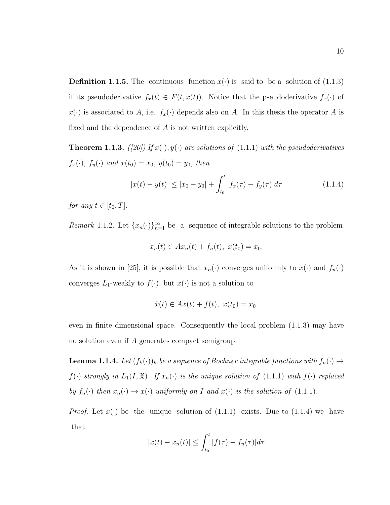**Definition 1.1.5.** The continuous function  $x(\cdot)$  is said to be a solution of (1.1.3) if its pseudoderivative  $f_x(t) \in F(t, x(t))$ . Notice that the pseudoderivative  $f_x(\cdot)$  of  $x(\cdot)$  is associated to A, i.e.  $f_x(\cdot)$  depends also on A. In this thesis the operator A is fixed and the dependence of A is not written explicitly.

**Theorem 1.1.3.** ([20]) If  $x(\cdot), y(\cdot)$  are solutions of (1.1.1) with the pseudoderivatives  $f_x(\cdot), f_y(\cdot)$  and  $x(t_0) = x_0, y(t_0) = y_0$ , then

$$
|x(t) - y(t)| \le |x_0 - y_0| + \int_{t_0}^t |f_x(\tau) - f_y(\tau)| d\tau \tag{1.1.4}
$$

for any  $t \in [t_0, T]$ .

Remark 1.1.2. Let  $\{x_n(\cdot)\}_{n=1}^{\infty}$  be a sequence of integrable solutions to the problem

$$
\dot{x}_n(t) \in Ax_n(t) + f_n(t), \ x(t_0) = x_0.
$$

As it is shown in [25], it is possible that  $x_n(\cdot)$  converges uniformly to  $x(\cdot)$  and  $f_n(\cdot)$ converges  $L_1$ -weakly to  $f(\cdot)$ , but  $x(\cdot)$  is not a solution to

$$
\dot{x}(t) \in Ax(t) + f(t), \ x(t_0) = x_0.
$$

even in finite dimensional space. Consequently the local problem (1.1.3) may have no solution even if A generates compact semigroup.

**Lemma 1.1.4.** Let  $(f_k(\cdot))_k$  be a sequence of Bochner integrable functions with  $f_n(\cdot) \to$  $f(\cdot)$  strongly in  $L_1(I, \mathfrak{X})$ . If  $x_n(\cdot)$  is the unique solution of  $(1.1.1)$  with  $f(\cdot)$  replaced by  $f_n(\cdot)$  then  $x_n(\cdot) \to x(\cdot)$  uniformly on I and  $x(\cdot)$  is the solution of (1.1.1).

*Proof.* Let  $x(\cdot)$  be the unique solution of (1.1.1) exists. Due to (1.1.4) we have that

$$
|x(t) - x_n(t)| \leq \int_{t_0}^t |f(\tau) - f_n(\tau)| d\tau
$$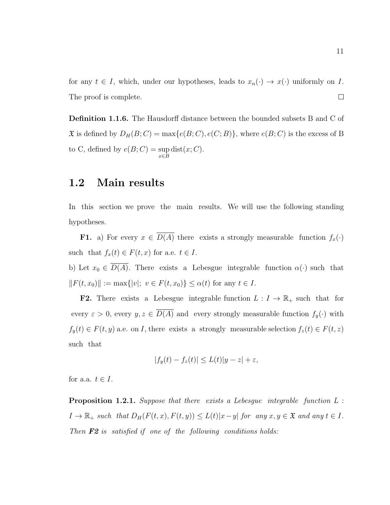for any  $t \in I$ , which, under our hypotheses, leads to  $x_n(\cdot) \to x(\cdot)$  uniformly on I. The proof is complete.  $\Box$ 

**Definition 1.1.6.** The Hausdorff distance between the bounded subsets B and C of  $\mathfrak X$  is defined by  $D_H(B;C) = \max\{e(B;C), e(C;B)\}\$ , where  $e(B;C)$  is the excess of B to C, defined by  $e(B;C) = \sup$ x∈B  $dist(x; C)$ .

#### 1.2 Main results

In this section we prove the main results. We will use the following standing hypotheses.

**F1.** a) For every  $x \in \overline{D(A)}$  there exists a strongly measurable function  $f_x(\cdot)$ such that  $f_x(t) \in F(t, x)$  for a.e.  $t \in I$ .

b) Let  $x_0 \in \overline{D(A)}$ . There exists a Lebesgue integrable function  $\alpha(\cdot)$  such that  $||F(t, x_0)|| := \max{|v|; v \in F(t, x_0)} \le \alpha(t)$  for any  $t \in I$ .

**F2.** There exists a Lebesgue integrable function  $L : I \to \mathbb{R}_+$  such that for every  $\varepsilon > 0$ , every  $y, z \in \overline{D(A)}$  and every strongly measurable function  $f_y(\cdot)$  with  $f_y(t) \in F(t, y)$  a.e. on I, there exists a strongly measurable selection  $f_z(t) \in F(t, z)$ such that

$$
|f_y(t) - f_z(t)| \le L(t)|y - z| + \varepsilon,
$$

for a.a.  $t \in I$ .

**Proposition 1.2.1.** Suppose that there exists a Lebesgue integrable function  $L$ :  $I \to \mathbb{R}_+$  such that  $D_H(F(t, x), F(t, y)) \leq L(t)|x-y|$  for any  $x, y \in \mathfrak{X}$  and any  $t \in I$ . Then  $F2$  is satisfied if one of the following conditions holds: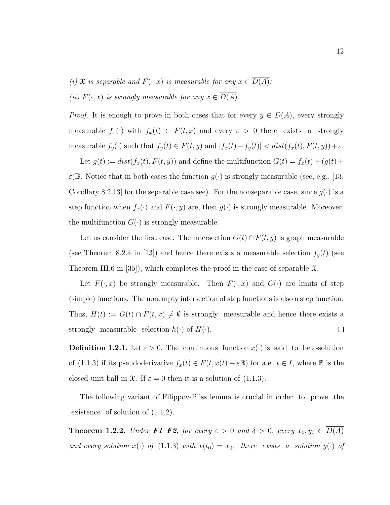(i)  $\mathfrak X$  is separable and  $F(\cdot, x)$  is measurable for any  $x \in \overline{D(A)}$ ; (ii)  $F(\cdot, x)$  is strongly measurable for any  $x \in \overline{D(A)}$ .

*Proof.* It is enough to prove in both cases that for every  $y \in \overline{D(A)}$ , every strongly measurable  $f_x(\cdot)$  with  $f_x(t) \in F(t, x)$  and every  $\varepsilon > 0$  there exists a strongly measurable  $f_y(\cdot)$  such that  $f_y(t) \in F(t, y)$  and  $|f_x(t) - f_y(t)| < dist(f_x(t), F(t, y)) + \varepsilon$ .

Let  $g(t) := dist(f_x(t), F(t, y))$  and define the multifunction  $G(t) = f_x(t) + (g(t) + g(t))$  $\varepsilon$ )B. Notice that in both cases the function  $g(\cdot)$  is strongly measurable (see, e.g., [13, Corollary 8.2.13 for the separable case see). For the nonseparable case, since  $g(\cdot)$  is a step function when  $f_x(\cdot)$  and  $F(\cdot, y)$  are, then  $g(\cdot)$  is strongly measurable. Moreover, the multifunction  $G(\cdot)$  is strongly measurable.

Let us consider the first case. The intersection  $G(t) \cap F(t, y)$  is graph measurable (see Theorem 8.2.4 in [13]) and hence there exists a measurable selection  $f_y(t)$  (see Theorem III.6 in [35]), which completes the proof in the case of separable  $\mathfrak{X}$ .

Let  $F(\cdot, x)$  be strongly measurable. Then  $F(\cdot, x)$  and  $G(\cdot)$  are limits of step (simple) functions. The nonempty intersection of step functions is also a step function. Thus,  $H(t) := G(t) \cap F(t, x) \neq \emptyset$  is strongly measurable and hence there exists a strongly measurable selection  $h(\cdot)$  of  $H(\cdot)$ .  $\Box$ 

**Definition 1.2.1.** Let  $\varepsilon > 0$ . The continuous function  $x(\cdot)$  is said to be  $\varepsilon$ -solution of (1.1.3) if its pseudoderivative  $f_x(t) \in F(t, x(t) + \varepsilon \mathbb{B})$  for a.e.  $t \in I$ , where  $\mathbb{B}$  is the closed unit ball in  $\mathfrak{X}$ . If  $\varepsilon = 0$  then it is a solution of (1.1.3).

The following variant of Filippov-Pliss lemma is crucial in order to prove the existence of solution of  $(1.1.2)$ .

**Theorem 1.2.2.** Under **F1–F2**, for every  $\varepsilon > 0$  and  $\delta > 0$ , every  $x_0, y_0 \in D(A)$ and every solution  $x(\cdot)$  of (1.1.3) with  $x(t_0) = x_0$ , there exists a solution  $y(\cdot)$  of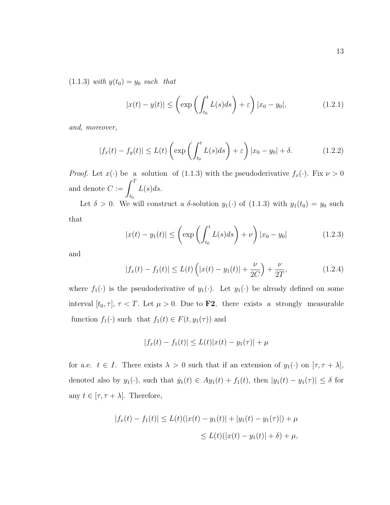(1.1.3) with  $y(t_0) = y_0$  such that

$$
|x(t) - y(t)| \le \left(\exp\left(\int_{t_0}^t L(s)ds\right) + \varepsilon\right)|x_0 - y_0|,\tag{1.2.1}
$$

and, moreover,

$$
|f_x(t) - f_y(t)| \le L(t) \left( \exp \left( \int_{t_0}^t L(s) ds \right) + \varepsilon \right) |x_0 - y_0| + \delta. \tag{1.2.2}
$$

*Proof.* Let  $x(\cdot)$  be a solution of (1.1.3) with the pseudoderivative  $f_x(\cdot)$ . Fix  $\nu > 0$ and denote  $C := \int_0^T$  $t_0$  $L(s)ds$ .

Let  $\delta > 0$ . We will construct a  $\delta$ -solution  $y_1(\cdot)$  of  $(1.1.3)$  with  $y_1(t_0) = y_0$  such that

$$
|x(t) - y_1(t)| \le \left(\exp\left(\int_{t_0}^t L(s)ds\right) + \nu\right)|x_0 - y_0| \tag{1.2.3}
$$

and

$$
|f_x(t) - f_1(t)| \le L(t) \left( |x(t) - y_1(t)| + \frac{\nu}{2C} \right) + \frac{\nu}{2T}, \tag{1.2.4}
$$

where  $f_1(\cdot)$  is the pseudoderivative of  $y_1(\cdot)$ . Let  $y_1(\cdot)$  be already defined on some interval  $[t_0, \tau]$ ,  $\tau < T$ . Let  $\mu > 0$ . Due to **F2**, there exists a strongly measurable function  $f_1(\cdot)$  such that  $f_1(t) \in F(t, y_1(\tau))$  and

 $|f_x(t) - f_1(t)| \le L(t)|x(t) - y_1(\tau)| + \mu$ 

for a.e.  $t \in I$ . There exists  $\lambda > 0$  such that if an extension of  $y_1(\cdot)$  on  $[\tau, \tau + \lambda]$ , denoted also by  $y_1(\cdot)$ , such that  $\dot{y}_1(t) \in Ay_1(t) + f_1(t)$ , then  $|y_1(t) - y_1(\tau)| \leq \delta$  for any  $t \in [\tau, \tau + \lambda]$ . Therefore,

$$
|f_x(t) - f_1(t)| \le L(t)(|x(t) - y_1(t)| + |y_1(t) - y_1(\tau)|) + \mu
$$
  

$$
\le L(t)(|x(t) - y_1(t)| + \delta) + \mu,
$$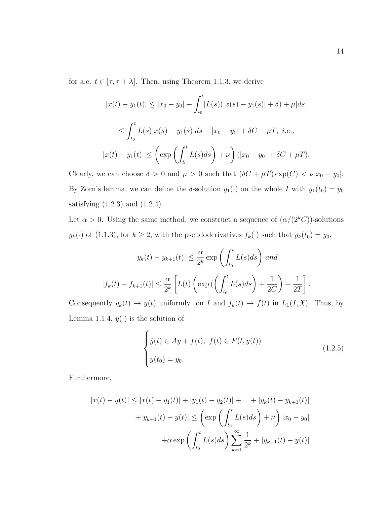for a.e.  $t \in [\tau, \tau + \lambda]$ . Then, using Theorem 1.1.3, we derive

$$
|x(t) - y_1(t)| \le |x_0 - y_0| + \int_{t_0}^t [L(s)(|x(s) - y_1(s)| + \delta) + \mu] ds,
$$
  

$$
\le \int_{t_0}^t L(s)|x(s) - y_1(s)|ds + |x_0 - y_0| + \delta C + \mu T, \ i.e.,
$$
  

$$
|x(t) - y_1(t)| \le \left(\exp\left(\int_{t_0}^t L(s)ds\right) + \nu\right) (|x_0 - y_0| + \delta C + \mu T).
$$

Clearly, we can choose  $\delta > 0$  and  $\mu > 0$  such that  $(\delta C + \mu T) \exp(C) < \nu |x_0 - y_0|$ . By Zorn's lemma, we can define the  $\delta$ -solution  $y_1(\cdot)$  on the whole I with  $y_1(t_0) = y_0$ satisfying  $(1.2.3)$  and  $(1.2.4)$ .

Let  $\alpha > 0$ . Using the same method, we construct a sequence of  $(\alpha/(2^kC))$ -solutions  $y_k(\cdot)$  of (1.1.3), for  $k \geq 2$ , with the pseudoderivatives  $f_k(\cdot)$  such that  $y_k(t_0) = y_0$ ,

$$
|y_k(t) - y_{k+1}(t)| \le \frac{\alpha}{2^k} \exp\left(\int_{t_0}^t L(s)ds\right) \text{ and}
$$
  

$$
|f_k(t) - f_{k+1}(t)| \le \frac{\alpha}{2^k} \left[L(t) \left(\exp\left(\left(\int_{t_0}^t L(s)ds\right) + \frac{1}{2C}\right) + \frac{1}{2T}\right].
$$

Consequently  $y_k(t) \to y(t)$  uniformly on I and  $f_k(t) \to f(t)$  in  $L_1(I, \mathfrak{X})$ . Thus, by Lemma 1.1.4,  $y(\cdot)$  is the solution of

$$
\begin{cases}\n\dot{y}(t) \in Ay + f(t), \ f(t) \in F(t, y(t)) \\
y(t_0) = y_0.\n\end{cases} \tag{1.2.5}
$$

Furthermore,

$$
|x(t) - y(t)| \le |x(t) - y_1(t)| + |y_1(t) - y_2(t)| + \dots + |y_k(t) - y_{k+1}(t)|
$$
  
+|y\_{k+1}(t) - y(t)| \le \left(\exp\left(\int\_{t\_0}^t L(s)ds\right) + \nu\right)|x\_0 - y\_0|  
+ $\alpha \exp\left(\int_{t_0}^t L(s)ds\right) \sum_{k=1}^{\infty} \frac{1}{2^k} + |y_{k+1}(t) - y(t)|$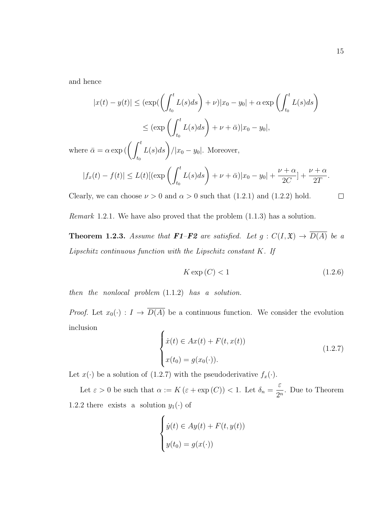and hence

$$
|x(t) - y(t)| \le (\exp\left(\int_{t_0}^t L(s)ds\right) + \nu)|x_0 - y_0| + \alpha \exp\left(\int_{t_0}^t L(s)ds\right)
$$

$$
\le (\exp\left(\int_{t_0}^t L(s)ds\right) + \nu + \bar{\alpha})|x_0 - y_0|,
$$

where  $\bar{\alpha} = \alpha \exp \left( \int_0^t$  $t_0$  $L(s)ds$  //x<sub>0</sub> - y<sub>0</sub>|. Moreover,

$$
|f_x(t) - f(t)| \le L(t) [(\exp \left( \int_{t_0}^t L(s) ds \right) + \nu + \bar{\alpha}) |x_0 - y_0| + \frac{\nu + \alpha}{2C} + \frac{\nu + \alpha}{2T}.
$$

Clearly, we can choose  $\nu > 0$  and  $\alpha > 0$  such that (1.2.1) and (1.2.2) hold.

$$
\qquad \qquad \Box
$$

Remark 1.2.1. We have also proved that the problem (1.1.3) has a solution.

**Theorem 1.2.3.** Assume that **F1–F2** are satisfied. Let  $g: C(I, \mathfrak{X}) \to \overline{D(A)}$  be a Lipschitz continuous function with the Lipschitz constant K. If

$$
K \exp(C) < 1\tag{1.2.6}
$$

then the nonlocal problem  $(1.1.2)$  has a solution.

*Proof.* Let  $x_0(\cdot) : I \to \overline{D(A)}$  be a continuous function. We consider the evolution inclusion

$$
\begin{cases}\n\dot{x}(t) \in Ax(t) + F(t, x(t)) \\
x(t_0) = g(x_0(\cdot)).\n\end{cases}
$$
\n(1.2.7)

Let  $x(\cdot)$  be a solution of (1.2.7) with the pseudoderivative  $f_x(\cdot)$ .

Let  $\varepsilon > 0$  be such that  $\alpha := K(\varepsilon + \exp(C)) < 1$ . Let  $\delta_n =$ ε  $\frac{c}{2^n}$ . Due to Theorem 1.2.2 there exists a solution  $y_1(\cdot)$  of

$$
\begin{cases} \dot{y}(t) \in Ay(t) + F(t, y(t)) \\ y(t_0) = g(x(\cdot)) \end{cases}
$$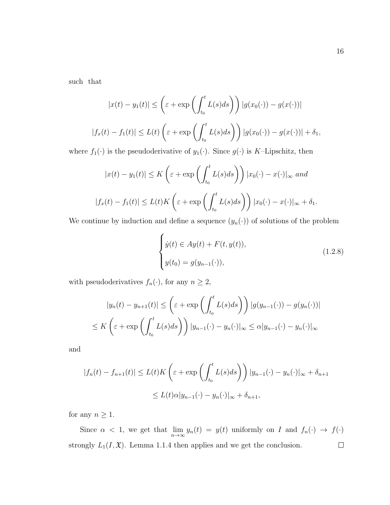such that

$$
|x(t) - y_1(t)| \leq \left(\varepsilon + \exp\left(\int_{t_0}^t L(s)ds\right)\right)|g(x_0(\cdot)) - g(x(\cdot))|
$$
  

$$
|f_x(t) - f_1(t)| \leq L(t)\left(\varepsilon + \exp\left(\int_{t_0}^t L(s)ds\right)\right)|g(x_0(\cdot)) - g(x(\cdot))| + \delta_1,
$$

where  $f_1(\cdot)$  is the pseudoderivative of  $y_1(\cdot)$ . Since  $g(\cdot)$  is K–Lipschitz, then

$$
|x(t) - y_1(t)| \le K\left(\varepsilon + \exp\left(\int_{t_0}^t L(s)ds\right)\right)|x_0(\cdot) - x(\cdot)|_{\infty} \text{ and}
$$
  

$$
|f_x(t) - f_1(t)| \le L(t)K\left(\varepsilon + \exp\left(\int_{t_0}^t L(s)ds\right)\right)|x_0(\cdot) - x(\cdot)|_{\infty} + \delta_1.
$$

We continue by induction and define a sequence  $(y_n(\cdot))$  of solutions of the problem

$$
\begin{cases}\n\dot{y}(t) \in Ay(t) + F(t, y(t)), \\
y(t_0) = g(y_{n-1}(\cdot)),\n\end{cases}
$$
\n(1.2.8)

with pseudoderivatives  $f_n(\cdot)$ , for any  $n \geq 2$ ,

$$
|y_n(t) - y_{n+1}(t)| \le \left(\varepsilon + \exp\left(\int_{t_0}^t L(s)ds\right)\right) |g(y_{n-1}(\cdot)) - g(y_n(\cdot))|
$$
  

$$
\le K\left(\varepsilon + \exp\left(\int_{t_0}^t L(s)ds\right)\right) |y_{n-1}(\cdot) - y_n(\cdot)|_{\infty} \le \alpha |y_{n-1}(\cdot) - y_n(\cdot)|_{\infty}
$$

and

$$
|f_n(t) - f_{n+1}(t)| \le L(t)K\left(\varepsilon + \exp\left(\int_{t_0}^t L(s)ds\right)\right)|y_{n-1}(\cdot) - y_n(\cdot)|_{\infty} + \delta_{n+1}
$$
  

$$
\le L(t)\alpha|y_{n-1}(\cdot) - y_n(\cdot)|_{\infty} + \delta_{n+1},
$$

for any  $n\geq 1.$ 

Since  $\alpha$  < 1, we get that  $\lim_{n\to\infty} y_n(t) = y(t)$  uniformly on I and  $f_n(\cdot) \to f(\cdot)$ strongly  $L_1(I, \mathfrak{X})$ . Lemma 1.1.4 then applies and we get the conclusion.  $\Box$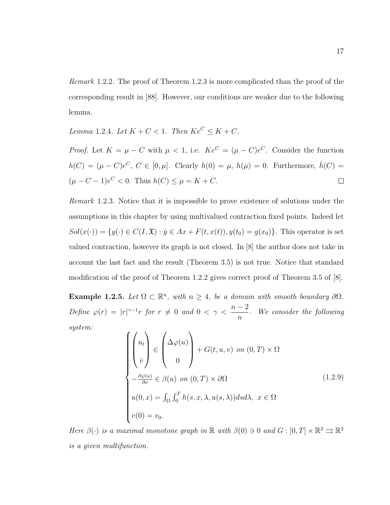Remark 1.2.2. The proof of Theorem 1.2.3 is more complicated than the proof of the corresponding result in [88]. However, our conditions are weaker due to the following lemma.

Lemma 1.2.4. Let  $K + C < 1$ . Then  $Ke^C \leq K + C$ .

*Proof.* Let  $K = \mu - C$  with  $\mu < 1$ , i.e.  $Ke^C = (\mu - C)e^C$ . Consider the function  $h(C) = (\mu - C)e^C$ ,  $C \in [0, \mu]$ . Clearly  $h(0) = \mu$ ,  $h(\mu) = 0$ . Furthermore,  $\dot{h}(C) =$  $(\mu - C - 1)e^{C} < 0$ . Thus  $h(C) \le \mu = K + C$ .  $\Box$ 

Remark 1.2.3. Notice that it is impossible to prove existence of solutions under the assumptions in this chapter by using multivalued contraction fixed points. Indeed let  $Sol(x(\cdot)) = \{y(\cdot) \in C(I, \mathfrak{X}) : y \in Ax + F(t, x(t)), y(t_0) = g(x_0)\}.$  This operator is set valued contraction, however its graph is not closed. In [8] the author does not take in account the last fact and the result (Theorem 3.5) is not true. Notice that standard modification of the proof of Theorem 1.2.2 gives correct proof of Theorem 3.5 of [8].

Example 1.2.5. Let  $\Omega \subset \mathbb{R}^n$ , with  $n \geq 4$ , be a domain with smooth boundary  $\partial \Omega$ . Define  $\varphi(r) = |r|^{\gamma-1}r$  for  $r \neq 0$  and  $0 < \gamma <$  $n-2$ n . We consider the following system:

$$
\begin{cases}\n\begin{pmatrix}\nu_t \\ \dot{v} \end{pmatrix} \in \begin{pmatrix}\n\Delta \varphi(u) \\ 0 \end{pmatrix} + G(t, u, v) \text{ on } (0, T) \times \Omega \\
-\frac{\partial \varphi(u)}{\partial \nu} \in \beta(u) \text{ on } (0, T) \times \partial \Omega \\
u(0, x) = \int_{\Omega} \int_0^T h(s, x, \lambda, u(s, \lambda)) ds d\lambda, x \in \Omega \\
v(0) = v_0.\n\end{cases}
$$
\n(1.2.9)

Here  $\beta(\cdot)$  is a maximal monotone graph in  $\mathbb R$  with  $\beta(0) \ni 0$  and  $G : [0, T] \times \mathbb R^2 \rightrightarrows \mathbb R^2$ is a given multifunction.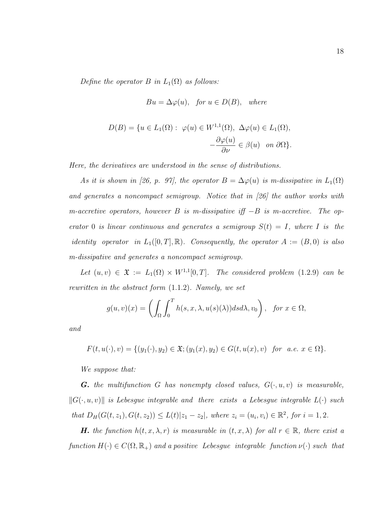Define the operator  $B$  in  $L_1(\Omega)$  as follows:

$$
Bu = \Delta \varphi(u), \text{ for } u \in D(B), \text{ where}
$$
  

$$
D(B) = \{u \in L_1(\Omega) : \varphi(u) \in W^{1,1}(\Omega), \Delta \varphi(u) \in L_1(\Omega),
$$
  

$$
-\frac{\partial \varphi(u)}{\partial \nu} \in \beta(u) \text{ on } \partial \Omega\}.
$$

Here, the derivatives are understood in the sense of distributions.

As it is shown in [26, p. 97], the operator  $B = \Delta \varphi(u)$  is m-dissipative in  $L_1(\Omega)$ and generates a noncompact semigroup. Notice that in [26] the author works with m-accretive operators, however B is m-dissipative iff  $-B$  is m-accretive. The operator 0 is linear continuous and generates a semigroup  $S(t) = I$ , where I is the identity operator in  $L_1([0,T], \mathbb{R})$ . Consequently, the operator  $A := (B, 0)$  is also m-dissipative and generates a noncompact semigroup.

Let  $(u, v) \in \mathfrak{X} := L_1(\Omega) \times W^{1,1}[0,T]$ . The considered problem (1.2.9) can be rewritten in the abstract form (1.1.2). Namely, we set

$$
g(u, v)(x) = \left(\int_{\Omega} \int_0^T h(s, x, \lambda, u(s)(\lambda)) ds d\lambda, v_0\right), \text{ for } x \in \Omega,
$$

and

 $F(t, u(\cdot), v) = \{(y_1(\cdot), y_2) \in \mathfrak{X}; (y_1(x), y_2) \in G(t, u(x), v) \text{ for a.e. } x \in \Omega\}.$ 

We suppose that:

**G.** the multifunction G has nonempty closed values,  $G(\cdot, u, v)$  is measurable,  $||G(\cdot, u, v)||$  is Lebesgue integrable and there exists a Lebesgue integrable  $L(\cdot)$  such that  $D_H(G(t, z_1), G(t, z_2)) \le L(t) |z_1 - z_2|$ , where  $z_i = (u_i, v_i) \in \mathbb{R}^2$ , for  $i = 1, 2$ .

**H.** the function  $h(t, x, \lambda, r)$  is measurable in  $(t, x, \lambda)$  for all  $r \in \mathbb{R}$ , there exist a function  $H(\cdot) \in C(\Omega, \mathbb{R}_+)$  and a positive Lebesgue integrable function  $\nu(\cdot)$  such that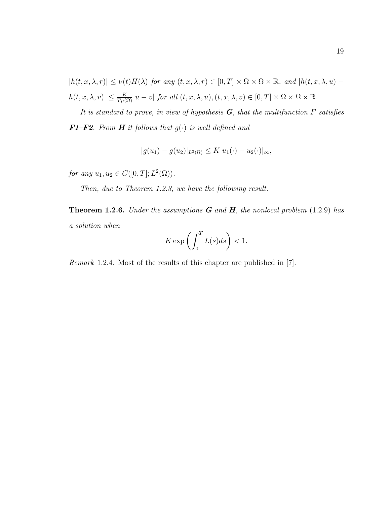$|h(t, x, \lambda, r)| \leq \nu(t)H(\lambda)$  for any  $(t, x, \lambda, r) \in [0, T] \times \Omega \times \Omega \times \mathbb{R}$ , and  $|h(t, x, \lambda, u) |h(t, x, \lambda, v)| \leq \frac{K}{T\mu(\Omega)}|u - v|$  for all  $(t, x, \lambda, u), (t, x, \lambda, v) \in [0, T] \times \Omega \times \Omega \times \mathbb{R}$ .

It is standard to prove, in view of hypothesis  $G$ , that the multifunction F satisfies **F1–F2.** From **H** it follows that  $g(\cdot)$  is well defined and

$$
|g(u_1) - g(u_2)|_{L^2(\Omega)} \le K|u_1(\cdot) - u_2(\cdot)|_{\infty},
$$

for any  $u_1, u_2 \in C([0, T]; L^2(\Omega))$ .

Then, due to Theorem 1.2.3, we have the following result.

**Theorem 1.2.6.** Under the assumptions  $G$  and  $H$ , the nonlocal problem (1.2.9) has a solution when

$$
K \exp\left(\int_0^T L(s)ds\right) < 1.
$$

Remark 1.2.4. Most of the results of this chapter are published in [7].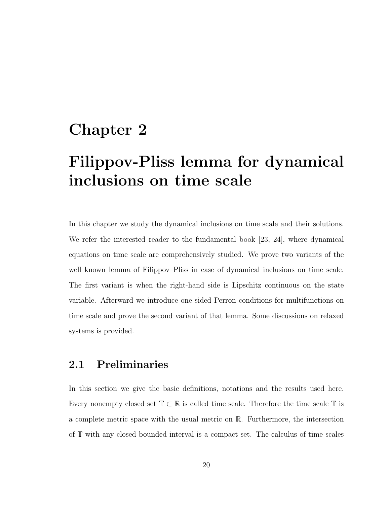## Chapter 2

# Filippov-Pliss lemma for dynamical inclusions on time scale

In this chapter we study the dynamical inclusions on time scale and their solutions. We refer the interested reader to the fundamental book [23, 24], where dynamical equations on time scale are comprehensively studied. We prove two variants of the well known lemma of Filippov–Pliss in case of dynamical inclusions on time scale. The first variant is when the right-hand side is Lipschitz continuous on the state variable. Afterward we introduce one sided Perron conditions for multifunctions on time scale and prove the second variant of that lemma. Some discussions on relaxed systems is provided.

#### 2.1 Preliminaries

In this section we give the basic definitions, notations and the results used here. Every nonempty closed set  $\mathbb{T} \subset \mathbb{R}$  is called time scale. Therefore the time scale  $\mathbb{T}$  is a complete metric space with the usual metric on R. Furthermore, the intersection of T with any closed bounded interval is a compact set. The calculus of time scales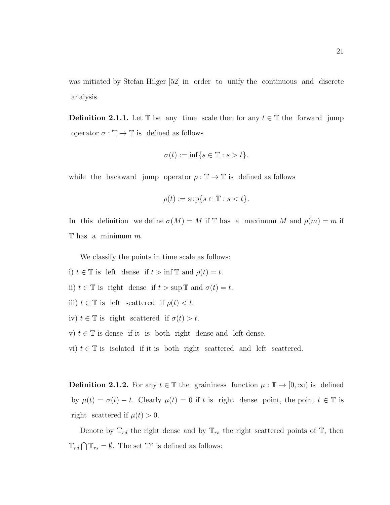was initiated by Stefan Hilger [52] in order to unify the continuous and discrete analysis.

**Definition 2.1.1.** Let T be any time scale then for any  $t \in T$  the forward jump operator  $\sigma : \mathbb{T} \to \mathbb{T}$  is defined as follows

$$
\sigma(t) := \inf\{s \in \mathbb{T} : s > t\}.
$$

while the backward jump operator  $\rho : \mathbb{T} \to \mathbb{T}$  is defined as follows

$$
\rho(t) := \sup\{s \in \mathbb{T} : s < t\}.
$$

In this definition we define  $\sigma(M) = M$  if T has a maximum M and  $\rho(m) = m$  if  $\mathbb T$  has a minimum m.

We classify the points in time scale as follows:

i)  $t \in \mathbb{T}$  is left dense if  $t > \inf \mathbb{T}$  and  $\rho(t) = t$ . ii)  $t \in \mathbb{T}$  is right dense if  $t > \sup \mathbb{T}$  and  $\sigma(t) = t$ . iii)  $t \in \mathbb{T}$  is left scattered if  $\rho(t) < t$ . iv)  $t \in \mathbb{T}$  is right scattered if  $\sigma(t) > t$ . v)  $t \in \mathbb{T}$  is dense if it is both right dense and left dense. vi)  $t \in \mathbb{T}$  is isolated if it is both right scattered and left scattered.

**Definition 2.1.2.** For any  $t \in \mathbb{T}$  the graininess function  $\mu : \mathbb{T} \to [0, \infty)$  is defined by  $\mu(t) = \sigma(t) - t$ . Clearly  $\mu(t) = 0$  if t is right dense point, the point  $t \in \mathbb{T}$  is right scattered if  $\mu(t) > 0$ .

Denote by  $\mathbb{T}_{rd}$  the right dense and by  $\mathbb{T}_{rs}$  the right scattered points of  $\mathbb{T}$ , then  $\mathbb{T}_{rd} \bigcap \mathbb{T}_{rs} = \emptyset$ . The set  $\mathbb{T}^{\kappa}$  is defined as follows: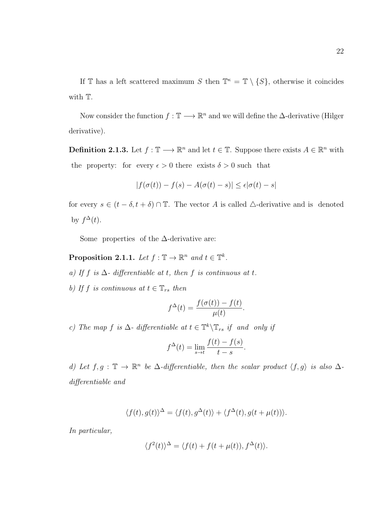If T has a left scattered maximum S then  $\mathbb{T}^k = \mathbb{T} \setminus \{S\}$ , otherwise it coincides with T.

Now consider the function  $f : \mathbb{T} \longrightarrow \mathbb{R}^n$  and we will define the  $\Delta$ -derivative (Hilger derivative).

**Definition 2.1.3.** Let  $f : \mathbb{T} \longrightarrow \mathbb{R}^n$  and let  $t \in \mathbb{T}$ . Suppose there exists  $A \in \mathbb{R}^n$  with the property: for every  $\epsilon > 0$  there exists  $\delta > 0$  such that

$$
|f(\sigma(t)) - f(s) - A(\sigma(t) - s)| \le \epsilon |\sigma(t) - s|
$$

for every  $s \in (t - \delta, t + \delta) \cap \mathbb{T}$ . The vector A is called  $\triangle$ -derivative and is denoted by  $f^{\Delta}(t)$ .

Some properties of the  $\Delta$ -derivative are:

**Proposition 2.1.1.** Let  $f: \mathbb{T} \to \mathbb{R}^n$  and  $t \in \mathbb{T}^k$ .

a) If f is  $\Delta$  - differentiable at t, then  $f$  is continuous at t.

b) If f is continuous at  $t \in \mathbb{T}_{rs}$  then

$$
f^{\Delta}(t) = \frac{f(\sigma(t)) - f(t)}{\mu(t)}.
$$

c) The map f is  $\Delta$ - differentiable at  $t \in \mathbb{T}^k \backslash \mathbb{T}_{rs}$  if and only if

$$
f^{\Delta}(t) = \lim_{s \to t} \frac{f(t) - f(s)}{t - s}.
$$

d) Let  $f, g : \mathbb{T} \to \mathbb{R}^n$  be  $\Delta$ -differentiable, then the scalar product  $\langle f, g \rangle$  is also  $\Delta$ differentiable and

$$
\langle f(t), g(t) \rangle^{\Delta} = \langle f(t), g^{\Delta}(t) \rangle + \langle f^{\Delta}(t), g(t + \mu(t)) \rangle.
$$

In particular,

$$
\langle f^2(t) \rangle^{\Delta} = \langle f(t) + f(t + \mu(t)), f^{\Delta}(t) \rangle.
$$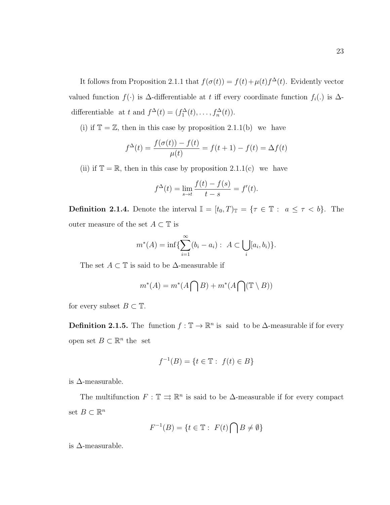It follows from Proposition 2.1.1 that  $f(\sigma(t)) = f(t) + \mu(t)f^{\Delta}(t)$ . Evidently vector valued function  $f(\cdot)$  is  $\Delta$ -differentiable at t iff every coordinate function  $f_i(.)$  is  $\Delta$ differentiable at t and  $f^{\Delta}(t) = (f_1^{\Delta}(t), \ldots, f_n^{\Delta}(t)).$ 

(i) if  $\mathbb{T} = \mathbb{Z}$ , then in this case by proposition 2.1.1(b) we have

$$
f^{\Delta}(t) = \frac{f(\sigma(t)) - f(t)}{\mu(t)} = f(t+1) - f(t) = \Delta f(t)
$$

(ii) if  $\mathbb{T} = \mathbb{R}$ , then in this case by proposition 2.1.1(c) we have

$$
f^{\Delta}(t) = \lim_{s \to t} \frac{f(t) - f(s)}{t - s} = f'(t).
$$

**Definition 2.1.4.** Denote the interval  $\mathbb{I} = [t_0, T)_{\mathbb{T}} = {\tau \in \mathbb{T} : a \leq \tau < b}.$  The outer measure of the set  $A\subset \mathbb{T}$  is

$$
m^*(A) = \inf \{ \sum_{i=1}^{\infty} (b_i - a_i) : A \subset \bigcup_i [a_i, b_i) \}.
$$

The set  $A \subset \mathbb{T}$  is said to be  $\Delta$ -measurable if

$$
m^*(A) = m^*(A \bigcap B) + m^*(A \bigcap (\mathbb{T} \setminus B))
$$

for every subset  $B \subset \mathbb{T}$ .

**Definition 2.1.5.** The function  $f : \mathbb{T} \to \mathbb{R}^n$  is said to be  $\Delta$ -measurable if for every open set  $B \subset \mathbb{R}^n$  the set

$$
f^{-1}(B) = \{ t \in \mathbb{T} : f(t) \in B \}
$$

is  $\Delta$ -measurable.

The multifunction  $F: \mathbb{T} \rightrightarrows \mathbb{R}^n$  is said to be  $\Delta$ -measurable if for every compact set  $B \subset \mathbb{R}^n$ 

$$
F^{-1}(B) = \{ t \in \mathbb{T} : F(t) \cap B \neq \emptyset \}
$$

is  $\Delta$ -measurable.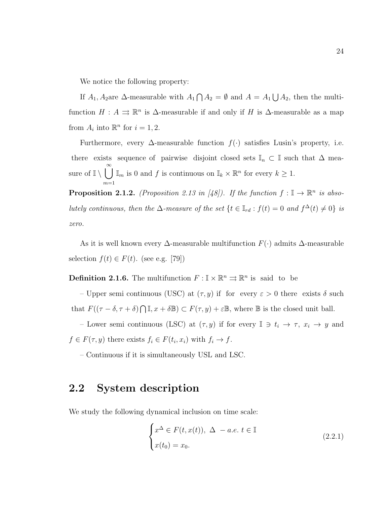We notice the following property:

If  $A_1, A_2$  are  $\Delta$ -measurable with  $A_1 \cap A_2 = \emptyset$  and  $A = A_1 \bigcup A_2$ , then the multifunction  $H: A \rightrightarrows \mathbb{R}^n$  is  $\Delta$ -measurable if and only if H is  $\Delta$ -measurable as a map from  $A_i$  into  $\mathbb{R}^n$  for  $i = 1, 2$ .

Furthermore, every  $\Delta$ -measurable function  $f(\cdot)$  satisfies Lusin's property, i.e. there exists sequence of pairwise disjoint closed sets  $\mathbb{I}_n \subset \mathbb{I}$  such that  $\Delta$  measure of  $\mathbb{I} \setminus \bigcup^{\infty}$  $m=1$  $\mathbb{I}_m$  is 0 and f is continuous on  $\mathbb{I}_k \times \mathbb{R}^n$  for every  $k \geq 1$ .

**Proposition 2.1.2.** (Proposition 2.13 in [48]). If the function  $f : \mathbb{I} \to \mathbb{R}^n$  is absolutely continuous, then the  $\Delta$ -measure of the set  $\{t \in \mathbb{I}_{rd} : f(t) = 0 \text{ and } f^{\Delta}(t) \neq 0\}$  is zero.

As it is well known every  $\Delta$ -measurable multifunction  $F(\cdot)$  admits  $\Delta$ -measurable selection  $f(t) \in F(t)$ . (see e.g. [79])

**Definition 2.1.6.** The multifunction  $F: \mathbb{I} \times \mathbb{R}^n \Rightarrow \mathbb{R}^n$  is said to be

– Upper semi continuous (USC) at  $(\tau, y)$  if for every  $\varepsilon > 0$  there exists  $\delta$  such that  $F((\tau - \delta, \tau + \delta) \cap \mathbb{I}, x + \delta \mathbb{B}) \subset F(\tau, y) + \varepsilon \mathbb{B}$ , where  $\mathbb B$  is the closed unit ball.

– Lower semi continuous (LSC) at  $(\tau, y)$  if for every  $\mathbb{I} \ni t_i \to \tau$ ,  $x_i \to y$  and  $f \in F(\tau, y)$  there exists  $f_i \in F(t_i, x_i)$  with  $f_i \to f$ .

– Continuous if it is simultaneously USL and LSC.

#### 2.2 System description

We study the following dynamical inclusion on time scale:

$$
\begin{cases}\nx^{\Delta} \in F(t, x(t)), \ \Delta \ -a.e. \ t \in \mathbb{I} \\
x(t_0) = x_0.\n\end{cases}
$$
\n(2.2.1)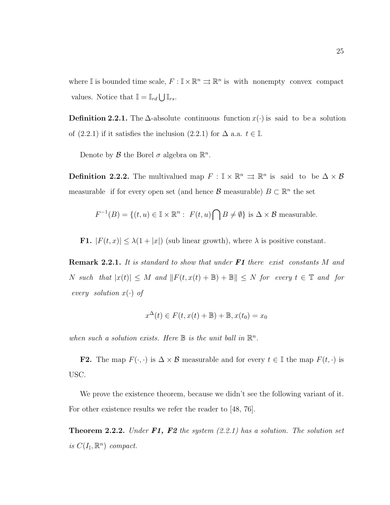where I is bounded time scale,  $F: \mathbb{I} \times \mathbb{R}^n \Rightarrow \mathbb{R}^n$  is with nonempty convex compact values. Notice that  $\mathbb{I} = \mathbb{I}_{rd} \bigcup \mathbb{I}_{rs}$ .

**Definition 2.2.1.** The  $\Delta$ -absolute continuous function  $x(\cdot)$  is said to be a solution of (2.2.1) if it satisfies the inclusion (2.2.1) for  $\Delta$  a.a.  $t \in \mathbb{I}$ .

Denote by  $\mathcal B$  the Borel  $\sigma$  algebra on  $\mathbb{R}^n$ .

**Definition 2.2.2.** The multivalued map  $F : \mathbb{I} \times \mathbb{R}^n \implies \mathbb{R}^n$  is said to be  $\Delta \times \mathcal{B}$ measurable if for every open set (and hence  $\mathcal{B}$  measurable)  $B \subset \mathbb{R}^n$  the set

$$
F^{-1}(B) = \{(t, u) \in \mathbb{I} \times \mathbb{R}^n : F(t, u) \cap B \neq \emptyset\} \text{ is } \Delta \times \mathcal{B} \text{ measurable.}
$$

**F1.**  $|F(t, x)| \leq \lambda(1+|x|)$  (sub linear growth), where  $\lambda$  is positive constant.

**Remark 2.2.1.** It is standard to show that under  $F1$  there exist constants M and N such that  $|x(t)| \leq M$  and  $||F(t, x(t) + \mathbb{B}) + \mathbb{B}|| \leq N$  for every  $t \in \mathbb{T}$  and for every solution  $x(\cdot)$  of

$$
x^{\Delta}(t) \in F(t, x(t) + \mathbb{B}) + \mathbb{B}, x(t_0) = x_0
$$

when such a solution exists. Here  $\mathbb B$  is the unit ball in  $\mathbb R^n$ .

**F2.** The map  $F(\cdot, \cdot)$  is  $\Delta \times \mathcal{B}$  measurable and for every  $t \in \mathbb{I}$  the map  $F(t, \cdot)$  is USC.

We prove the existence theorem, because we didn't see the following variant of it. For other existence results we refer the reader to [48, 76].

**Theorem 2.2.2.** Under  $F1$ ,  $F2$  the system  $(2.2.1)$  has a solution. The solution set is  $C(I_{\mathbb{I}}, \mathbb{R}^n)$  compact.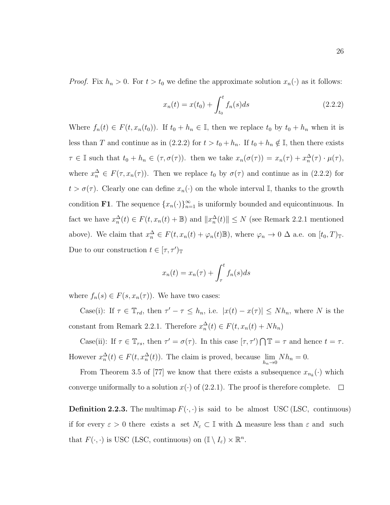*Proof.* Fix  $h_n > 0$ . For  $t > t_0$  we define the approximate solution  $x_n(\cdot)$  as it follows:

$$
x_n(t) = x(t_0) + \int_{t_0}^t f_n(s)ds
$$
\n(2.2.2)

Where  $f_n(t) \in F(t, x_n(t_0))$ . If  $t_0 + h_n \in \mathbb{I}$ , then we replace  $t_0$  by  $t_0 + h_n$  when it is less than T and continue as in (2.2.2) for  $t > t_0 + h_n$ . If  $t_0 + h_n \notin I$ , then there exists  $\tau \in \mathbb{I}$  such that  $t_0 + h_n \in (\tau, \sigma(\tau))$ . then we take  $x_n(\sigma(\tau)) = x_n(\tau) + x_n^{\Delta}(\tau) \cdot \mu(\tau)$ , where  $x_n^{\Delta} \in F(\tau, x_n(\tau))$ . Then we replace  $t_0$  by  $\sigma(\tau)$  and continue as in (2.2.2) for  $t > \sigma(\tau)$ . Clearly one can define  $x_n(\cdot)$  on the whole interval I, thanks to the growth condition **F1**. The sequence  $\{x_n(\cdot)\}_{n=1}^{\infty}$  is uniformly bounded and equicontinuous. In fact we have  $x_n^{\Delta}(t) \in F(t, x_n(t) + \mathbb{B})$  and  $||x_n^{\Delta}(t)|| \leq N$  (see Remark 2.2.1 mentioned above). We claim that  $x_n^{\Delta} \in F(t, x_n(t) + \varphi_n(t) \mathbb{B})$ , where  $\varphi_n \to 0$   $\Delta$  a.e. on  $[t_0, T)$ <sub>T</sub>. Due to our construction  $t \in [\tau, \tau']_{\mathbb{T}}$ 

$$
x_n(t) = x_n(\tau) + \int_{\tau}^{t} f_n(s)ds
$$

where  $f_n(s) \in F(s, x_n(\tau))$ . We have two cases:

Case(i): If  $\tau \in \mathbb{T}_{rd}$ , then  $\tau' - \tau \leq h_n$ , i.e.  $|x(t) - x(\tau)| \leq Nh_n$ , where N is the constant from Remark 2.2.1. Therefore  $x_n^{\Delta}(t) \in F(t, x_n(t) + Nh_n)$ 

Case(ii): If  $\tau \in \mathbb{T}_{rs}$ , then  $\tau' = \sigma(\tau)$ . In this case  $[\tau, \tau') \cap \mathbb{T} = \tau$  and hence  $t = \tau$ . However  $x_n^{\Delta}(t) \in F(t, x_n^{\Delta}(t))$ . The claim is proved, because  $\lim_{h_n \to 0} Nh_n = 0$ .

From Theorem 3.5 of [77] we know that there exists a subsequence  $x_{n_k}(\cdot)$  which converge uniformally to a solution  $x(\cdot)$  of (2.2.1). The proof is therefore complete.  $\Box$ 

**Definition 2.2.3.** The multimap  $F(\cdot, \cdot)$  is said to be almost USC (LSC, continuous) if for every  $\varepsilon > 0$  there exists a set  $N_{\varepsilon} \subset \mathbb{I}$  with  $\Delta$  measure less than  $\varepsilon$  and such that  $F(\cdot, \cdot)$  is USC (LSC, continuous) on  $(\mathbb{I} \setminus I_{\varepsilon}) \times \mathbb{R}^n$ .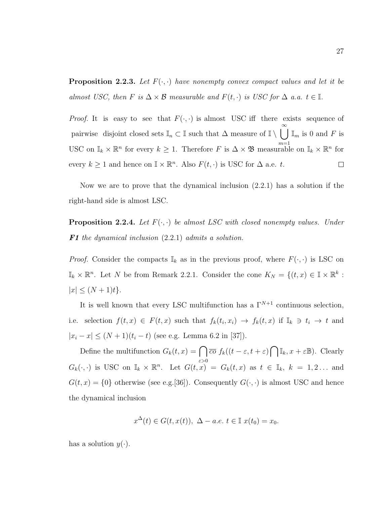**Proposition 2.2.3.** Let  $F(\cdot, \cdot)$  have nonempty convex compact values and let it be almost USC, then F is  $\Delta \times \mathcal{B}$  measurable and  $F(t, \cdot)$  is USC for  $\Delta$  a.a.  $t \in \mathbb{I}$ .

*Proof.* It is easy to see that  $F(\cdot, \cdot)$  is almost USC iff there exists sequence of pairwise disjoint closed sets  $\mathbb{I}_n \subset \mathbb{I}$  such that  $\Delta$  measure of  $\mathbb{I} \setminus \bigcup_{m=1}^{\infty} \mathbb{I}_m$  is 0 and F is USC on  $\mathbb{I}_k \times \mathbb{R}^n$  for every  $k \geq 1$ . Therefore F is  $\Delta \times \mathfrak{B}$  measurable on  $\mathbb{I}_k \times \mathbb{R}^n$  for every  $k \geq 1$  and hence on  $\mathbb{I} \times \mathbb{R}^n$ . Also  $F(t, \cdot)$  is USC for  $\Delta$  a.e. t.  $\Box$ 

Now we are to prove that the dynamical inclusion (2.2.1) has a solution if the right-hand side is almost LSC.

**Proposition 2.2.4.** Let  $F(\cdot, \cdot)$  be almost LSC with closed nonempty values. Under **F1** the dynamical inclusion  $(2.2.1)$  admits a solution.

*Proof.* Consider the compacts  $\mathbb{I}_k$  as in the previous proof, where  $F(\cdot, \cdot)$  is LSC on  $\mathbb{I}_k \times \mathbb{R}^n$ . Let N be from Remark 2.2.1. Consider the cone  $K_N = \{(t,x) \in \mathbb{I} \times \mathbb{R}^k :$  $|x| \leq (N+1)t$ .

It is well known that every LSC multifunction has a  $\Gamma^{N+1}$  continuous selection, i.e. selection  $f(t,x) \in F(t,x)$  such that  $f_k(t_i,x_i) \to f_k(t,x)$  if  $\mathbb{I}_k \ni t_i \to t$  and  $|x_i - x| \le (N + 1)(t_i - t)$  (see e.g. Lemma 6.2 in [37]).

Define the multifunction  $G_k(t, x) = \bigcap \overline{co} f_k((t - \varepsilon, t + \varepsilon) \bigcap \mathbb{I}_k, x + \varepsilon \mathbb{B})$ . Clearly  $G_k(\cdot, \cdot)$  is USC on  $\mathbb{I}_k \times \mathbb{R}^n$ . Let  $G(t, x) = G_k(t, x)$  as  $t \in \mathbb{I}_k$ ,  $k = 1, 2...$  and  $G(t, x) = \{0\}$  otherwise (see e.g. [36]). Consequently  $G(\cdot, \cdot)$  is almost USC and hence the dynamical inclusion

$$
x^{\Delta}(t) \in G(t, x(t)), \ \Delta - a.e. \ t \in \mathbb{I} \ x(t_0) = x_0.
$$

has a solution  $y(\cdot)$ .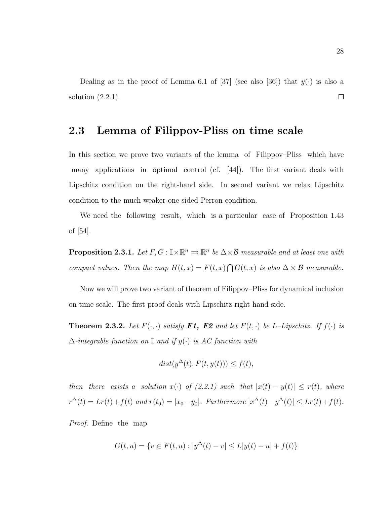Dealing as in the proof of Lemma 6.1 of [37] (see also [36]) that  $y(\cdot)$  is also a solution  $(2.2.1)$ .  $\Box$ 

### 2.3 Lemma of Filippov-Pliss on time scale

In this section we prove two variants of the lemma of Filippov–Pliss which have many applications in optimal control (cf.  $|44|$ ). The first variant deals with Lipschitz condition on the right-hand side. In second variant we relax Lipschitz condition to the much weaker one sided Perron condition.

We need the following result, which is a particular case of Proposition 1.43 of [54].

**Proposition 2.3.1.** Let  $F, G : \mathbb{I} \times \mathbb{R}^n \implies \mathbb{R}^n$  be  $\Delta \times \mathcal{B}$  measurable and at least one with compact values. Then the map  $H(t, x) = F(t, x) \bigcap G(t, x)$  is also  $\Delta \times \mathcal{B}$  measurable.

Now we will prove two variant of theorem of Filippov–Pliss for dynamical inclusion on time scale. The first proof deals with Lipschitz right hand side.

**Theorem 2.3.2.** Let  $F(\cdot, \cdot)$  satisfy **F1, F2** and let  $F(t, \cdot)$  be L-Lipschitz. If  $f(\cdot)$  is  $\Delta$ -integrable function on I and if  $y(\cdot)$  is AC function with

$$
dist(y^{\Delta}(t), F(t, y(t))) \le f(t),
$$

then there exists a solution  $x(\cdot)$  of (2.2.1) such that  $|x(t) - y(t)| \le r(t)$ , where  $r^{\Delta}(t) = Lr(t) + f(t)$  and  $r(t_0) = |x_0 - y_0|$ . Furthermore  $|x^{\Delta}(t) - y^{\Delta}(t)| \leq Lr(t) + f(t)$ .

*Proof.* Define the map

$$
G(t, u) = \{v \in F(t, u) : |y^{\Delta}(t) - v| \le L|y(t) - u| + f(t)\}
$$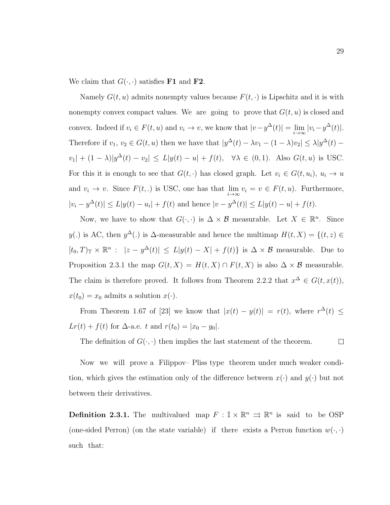We claim that  $G(\cdot, \cdot)$  satisfies **F1** and **F2**.

Namely  $G(t, u)$  admits nonempty values because  $F(t, \cdot)$  is Lipschitz and it is with nonempty convex compact values. We are going to prove that  $G(t, u)$  is closed and convex. Indeed if  $v_i \in F(t, u)$  and  $v_i \to v$ , we know that  $|v - y^{\Delta}(t)| = \lim_{i \to \infty} |v_i - y^{\Delta}(t)|$ . Therefore if  $v_1, v_2 \in G(t, u)$  then we have that  $|y^{\Delta}(t) - \lambda v_1 - (1 - \lambda)v_2| \leq \lambda |y^{\Delta}(t) - \lambda v_2|$  $|v_1| + (1 - \lambda)|y^{\Delta}(t) - v_2| \le L|y(t) - u| + f(t), \quad \forall \lambda \in (0, 1).$  Also  $G(t, u)$  is USC. For this it is enough to see that  $G(t, \cdot)$  has closed graph. Let  $v_i \in G(t, u_i)$ ,  $u_i \to u$ and  $v_i \to v$ . Since  $F(t,.)$  is USC, one has that  $\lim_{i\to\infty} v_i = v \in F(t, u)$ . Furthermore,  $|v_i - y^{\Delta}(t)| \le L|y(t) - u_i| + f(t)$  and hence  $|v - y^{\Delta}(t)| \le L|y(t) - u| + f(t)$ .

Now, we have to show that  $G(\cdot, \cdot)$  is  $\Delta \times \mathcal{B}$  measurable. Let  $X \in \mathbb{R}^n$ . Since y(.) is AC, then  $y^{\Delta}$ (.) is  $\Delta$ -measurable and hence the multimap  $H(t, X) = \{(t, z) \in$  $[t_0, T]_{\mathbb{T}} \times \mathbb{R}^n : |z - y^{\Delta}(t)| \leq L|y(t) - X| + f(t)$  is  $\Delta \times \mathcal{B}$  measurable. Due to Proposition 2.3.1 the map  $G(t, X) = H(t, X) \cap F(t, X)$  is also  $\Delta \times \mathcal{B}$  measurable. The claim is therefore proved. It follows from Theorem 2.2.2 that  $x^{\Delta} \in G(t, x(t)),$  $x(t_0) = x_0$  admits a solution  $x(\cdot)$ .

From Theorem 1.67 of [23] we know that  $|x(t) - y(t)| = r(t)$ , where  $r^{\Delta}(t) \leq$  $Lr(t) + f(t)$  for  $\Delta$ -a.e. t and  $r(t_0) = |x_0 - y_0|$ .

The definition of  $G(\cdot, \cdot)$  then implies the last statement of the theorem.

Now we will prove a Filippov–Pliss type theorem under much weaker condition, which gives the estimation only of the difference between  $x(\cdot)$  and  $y(\cdot)$  but not between their derivatives.

**Definition 2.3.1.** The multivalued map  $F : \mathbb{I} \times \mathbb{R}^n \implies \mathbb{R}^n$  is said to be OSP (one-sided Perron) (on the state variable) if there exists a Perron function  $w(\cdot, \cdot)$ such that:

 $\Box$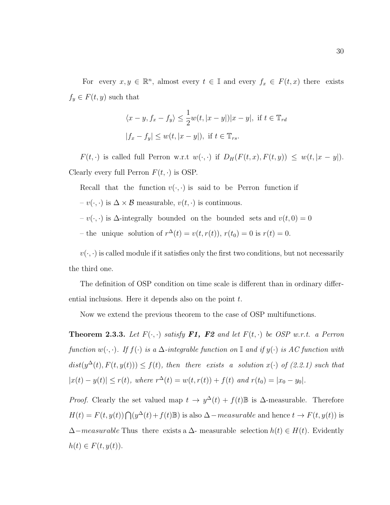For every  $x, y \in \mathbb{R}^n$ , almost every  $t \in \mathbb{I}$  and every  $f_x \in F(t, x)$  there exists  $f_y \in F(t, y)$  such that

$$
\langle x - y, f_x - f_y \rangle \le \frac{1}{2} w(t, |x - y|) |x - y|, \text{ if } t \in \mathbb{T}_{rd}
$$
  

$$
|f_x - f_y| \le w(t, |x - y|), \text{ if } t \in \mathbb{T}_{rs}.
$$

 $F(t, \cdot)$  is called full Perron w.r.t  $w(\cdot, \cdot)$  if  $D_H(F(t, x), F(t, y)) \leq w(t, |x - y|)$ . Clearly every full Perron  $F(t, \cdot)$  is OSP.

Recall that the function  $v(\cdot, \cdot)$  is said to be Perron function if

–  $v(·, ·)$  is  $\Delta \times \mathcal{B}$  measurable,  $v(t, ·)$  is continuous.

–  $v(·, ·)$  is Δ-integrally bounded on the bounded sets and  $v(t, 0) = 0$ 

- the unique solution of  $r^{\Delta}(t) = v(t, r(t)), r(t_0) = 0$  is  $r(t) = 0$ .

 $v(\cdot, \cdot)$  is called module if it satisfies only the first two conditions, but not necessarily the third one.

The definition of OSP condition on time scale is different than in ordinary differential inclusions. Here it depends also on the point t.

Now we extend the previous theorem to the case of OSP multifunctions.

**Theorem 2.3.3.** Let  $F(\cdot, \cdot)$  satisfy **F1, F2** and let  $F(t, \cdot)$  be OSP w.r.t. a Perron function  $w(\cdot, \cdot)$ . If  $f(\cdot)$  is a  $\Delta$ -integrable function on  $\mathbb I$  and if  $y(\cdot)$  is AC function with  $dist(y^{\Delta}(t), F(t, y(t))) \leq f(t)$ , then there exists a solution  $x(\cdot)$  of (2.2.1) such that  $|x(t) - y(t)| \le r(t)$ , where  $r^{\Delta}(t) = w(t, r(t)) + f(t)$  and  $r(t_0) = |x_0 - y_0|$ .

*Proof.* Clearly the set valued map  $t \to y^{\Delta}(t) + f(t) \mathbb{B}$  is  $\Delta$ -measurable. Therefore  $H(t) = F(t, y(t)) \bigcap (y^{\Delta}(t) + f(t)\mathbb{B})$  is also  $\Delta - \text{measurable}$  and hence  $t \to F(t, y(t))$  is  $\Delta-measurable$  Thus there exists a  $\Delta$ -measurable selection  $h(t) \in H(t)$ . Evidently  $h(t) \in F(t, y(t)).$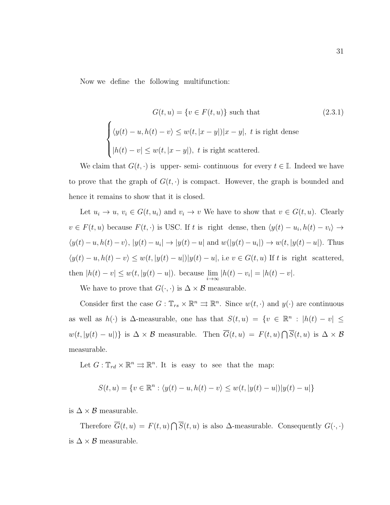Now we define the following multifunction:

$$
G(t, u) = \{v \in F(t, u)\}\n\text{ such that }\n\tag{2.3.1}
$$
\n
$$
\begin{cases}\n\langle y(t) - u, h(t) - v \rangle \le w(t, |x - y|)|x - y|, \ t \text{ is right dense} \\
|h(t) - v| \le w(t, |x - y|), \ t \text{ is right scattered.}\n\end{cases}
$$

We claim that  $G(t, \cdot)$  is upper-semi-continuous for every  $t \in \mathbb{I}$ . Indeed we have to prove that the graph of  $G(t, \cdot)$  is compact. However, the graph is bounded and hence it remains to show that it is closed.

Let  $u_i \to u$ ,  $v_i \in G(t, u_i)$  and  $v_i \to v$  We have to show that  $v \in G(t, u)$ . Clearly  $v \in F(t, u)$  because  $F(t, \cdot)$  is USC. If t is right dense, then  $\langle y(t) - u_i, h(t) - v_i \rangle \rightarrow$  $\langle y(t) - u, h(t) - v \rangle$ ,  $|y(t) - u_i| \rightarrow |y(t) - u|$  and  $w(|y(t) - u_i|) \rightarrow w(t, |y(t) - u|)$ . Thus  $\langle y(t) - u, h(t) - v \rangle \leq w(t, |y(t) - u|) |y(t) - u|$ , i.e  $v \in G(t, u)$  If t is right scattered, then  $|h(t) - v| \leq w(t, |y(t) - u|)$ . because  $\lim_{i \to \infty} |h(t) - v_i| = |h(t) - v|$ .

We have to prove that  $G(\cdot, \cdot)$  is  $\Delta \times \mathcal{B}$  measurable.

Consider first the case  $G: \mathbb{T}_{rs} \times \mathbb{R}^n \Rightarrow \mathbb{R}^n$ . Since  $w(t, \cdot)$  and  $y(\cdot)$  are continuous as well as  $h(\cdot)$  is  $\Delta$ -measurable, one has that  $S(t, u) = \{v \in \mathbb{R}^n : |h(t) - v| \leq$  $w(t, |y(t) - u|)$  is  $\Delta \times \mathcal{B}$  measurable. Then  $\overline{G}(t, u) = F(t, u) \cap \overline{S}(t, u)$  is  $\Delta \times \mathcal{B}$ measurable.

Let  $G: \mathbb{T}_{rd} \times \mathbb{R}^n \rightrightarrows \mathbb{R}^n$ . It is easy to see that the map:

$$
S(t, u) = \{v \in \mathbb{R}^n : \langle y(t) - u, h(t) - v \rangle \le w(t, |y(t) - u|) |y(t) - u|\}
$$

is  $\Delta \times \mathcal{B}$  measurable.

Therefore  $\overline{G}(t, u) = F(t, u) \cap \overline{S}(t, u)$  is also  $\Delta$ -measurable. Consequently  $G(\cdot, \cdot)$ is  $\Delta \times \mathcal{B}$  measurable.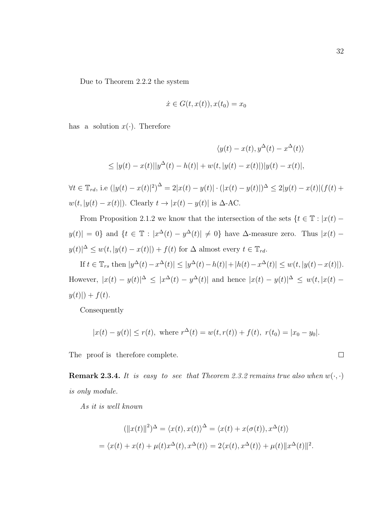Due to Theorem 2.2.2 the system

$$
\dot{x} \in G(t, x(t)), x(t_0) = x_0
$$

has a solution  $x(\cdot)$ . Therefore

$$
\langle y(t) - x(t), y^{\Delta}(t) - x^{\Delta}(t) \rangle
$$
  

$$
\leq |y(t) - x(t)||y^{\Delta}(t) - h(t)| + w(t, |y(t) - x(t)|)|y(t) - x(t)|,
$$

 $\forall t \in \mathbb{T}_{rd}$ , i.e  $(|y(t) - x(t)|^2)^{\Delta} = 2|x(t) - y(t)| \cdot (|x(t) - y(t)|)^{\Delta} \leq 2|y(t) - x(t)|(f(t) +$  $w(t, |y(t) - x(t)|)$ . Clearly  $t \to |x(t) - y(t)|$  is  $\Delta$ -AC.

From Proposition 2.1.2 we know that the intersection of the sets  $\{t \in \mathbb{T} : |x(t)$  $y(t)$  = 0} and  $\{t \in \mathbb{T} : |x^{\Delta}(t) - y^{\Delta}(t)| \neq 0\}$  have  $\Delta$ -measure zero. Thus  $|x(t)$  $y(t)|^{\Delta} \leq w(t, |y(t) - x(t)|) + f(t)$  for  $\Delta$  almost every  $t \in \mathbb{T}_{rd}$ .

If  $t \in \mathbb{T}_{rs}$  then  $|y^{\Delta}(t) - x^{\Delta}(t)| \le |y^{\Delta}(t) - h(t)| + |h(t) - x^{\Delta}(t)| \le w(t, |y(t) - x(t)|)$ . However,  $|x(t) - y(t)|^{\Delta} \leq |x^{\Delta}(t) - y^{\Delta}(t)|$  and hence  $|x(t) - y(t)|^{\Delta} \leq w(t, |x(t) - y(t)|^{\Delta})$  $y(t)| + f(t).$ 

Consequently

$$
|x(t) - y(t)| \le r(t)
$$
, where  $r^{\Delta}(t) = w(t, r(t)) + f(t)$ ,  $r(t_0) = |x_0 - y_0|$ .

The proof is therefore complete.

**Remark 2.3.4.** It is easy to see that Theorem 2.3.2 remains true also when  $w(\cdot, \cdot)$ is only module.

As it is well known

$$
(\|x(t)\|^2)^{\Delta} = \langle x(t), x(t) \rangle^{\Delta} = \langle x(t) + x(\sigma(t)), x^{\Delta}(t) \rangle
$$
  
=  $\langle x(t) + x(t) + \mu(t)x^{\Delta}(t), x^{\Delta}(t) \rangle = 2\langle x(t), x^{\Delta}(t) \rangle + \mu(t) \|x^{\Delta}(t)\|^2.$ 

 $\Box$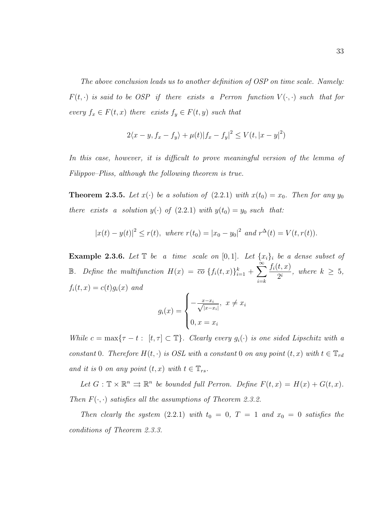The above conclusion leads us to another definition of OSP on time scale. Namely:  $F(t, \cdot)$  is said to be OSP if there exists a Perron function  $V(\cdot, \cdot)$  such that for every  $f_x \in F(t, x)$  there exists  $f_y \in F(t, y)$  such that

$$
2\langle x - y, f_x - f_y \rangle + \mu(t) |f_x - f_y|^2 \le V(t, |x - y|^2)
$$

In this case, however, it is difficult to prove meaningful version of the lemma of Filippov–Pliss, although the following theorem is true.

**Theorem 2.3.5.** Let  $x(\cdot)$  be a solution of  $(2.2.1)$  with  $x(t_0) = x_0$ . Then for any  $y_0$ there exists a solution  $y(\cdot)$  of  $(2.2.1)$  with  $y(t_0) = y_0$  such that:

$$
|x(t) - y(t)|^2 \le r(t)
$$
, where  $r(t_0) = |x_0 - y_0|^2$  and  $r^{\Delta}(t) = V(t, r(t))$ .

Example 2.3.6. Let  $\mathbb T$  be a time scale on  $[0, 1]$ . Let  $\{x_i\}_i$  be a dense subset of **B**. Define the multifunction  $H(x) = \overline{co} \{f_i(t,x)\}_{i=1}^k + \sum_{i=1}^{\infty}$  $i=$  $f_i(t,x)$  $\frac{1}{2^i}$ , where  $k \geq 5$ ,  $f_i(t, x) = c(t)g_i(x)$  and í

$$
g_i(x) = \begin{cases} -\frac{x - x_i}{\sqrt{|x - x_i|}}, & x \neq x_i \\ 0, & x = x_i \end{cases}
$$

While  $c = \max\{\tau - t : [t, \tau] \subset \mathbb{T}\}\$ . Clearly every  $g_i(\cdot)$  is one sided Lipschitz with a constant 0. Therefore  $H(t, \cdot)$  is OSL with a constant 0 on any point  $(t, x)$  with  $t \in \mathbb{T}_{rd}$ and it is 0 on any point  $(t, x)$  with  $t \in \mathbb{T}_{rs}$ .

Let  $G: \mathbb{T} \times \mathbb{R}^n \Rightarrow \mathbb{R}^n$  be bounded full Perron. Define  $F(t, x) = H(x) + G(t, x)$ . Then  $F(\cdot, \cdot)$  satisfies all the assumptions of Theorem 2.3.2.

Then clearly the system (2.2.1) with  $t_0 = 0$ ,  $T = 1$  and  $x_0 = 0$  satisfies the conditions of Theorem 2.3.3.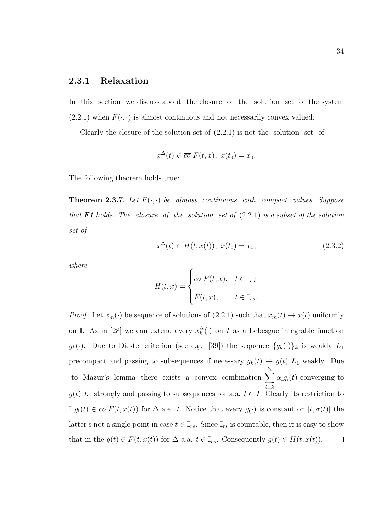### 2.3.1 Relaxation

In this section we discuss about the closure of the solution set for the system  $(2.2.1)$  when  $F(\cdot, \cdot)$  is almost continuous and not necessarily convex valued.

Clearly the closure of the solution set of  $(2.2.1)$  is not the solution set of

$$
x^{\Delta}(t) \in \overline{co} F(t, x), \ x(t_0) = x_0.
$$

The following theorem holds true:

**Theorem 2.3.7.** Let  $F(\cdot, \cdot)$  be almost continuous with compact values. Suppose that F1 holds. The closure of the solution set of  $(2.2.1)$  is a subset of the solution set of

$$
x^{\Delta}(t) \in H(t, x(t)), \ x(t_0) = x_0,
$$
\n(2.3.2)

where

$$
H(t,x) = \begin{cases} \overline{co} \ F(t,x), & t \in \mathbb{I}_{rd} \\ F(t,x), & t \in \mathbb{I}_{rs}. \end{cases}
$$

*Proof.* Let  $x_m(\cdot)$  be sequence of solutions of  $(2.2.1)$  such that  $x_m(t) \to x(t)$  uniformly on I. As in [28] we can extend every  $x_k^{\Delta}(\cdot)$  on I as a Lebesgue integrable function  $g_k(\cdot)$ . Due to Diestel criterion (see e.g. [39]) the sequence  $\{g_k(\cdot)\}_k$  is weakly  $L_1$ precompact and passing to subsequences if necessary  $g_k(t) \to g(t) L_1$  weakly. Due  $k_i$ to Mazur's lemma there exists a convex combination  $\sum$  $\alpha_i g_i(t)$  converging to  $i=$  $g(t)$  L<sub>1</sub> strongly and passing to subsequences for a.a.  $t \in I$ . Clearly its restriction to I  $g_$ [ $t$ ) ∈  $\overline{co} F(t, x(t))$  for  $\Delta$  a.e. t. Notice that every  $g(·)$  is constant on  $[t, σ(t)]$  the latter s not a single point in case  $t \in \mathbb{I}_{rs}$ . Since  $\mathbb{I}_{rs}$  is countable, then it is easy to show that in the  $g(t) \in F(t, x(t))$  for  $\Delta$  a.a.  $t \in \mathbb{I}_{rs}$ . Consequently  $g(t) \in H(t, x(t))$ .  $\Box$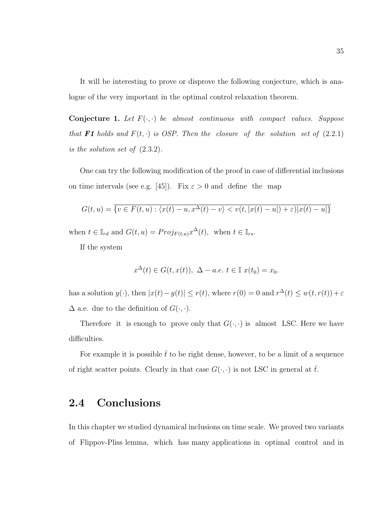It will be interesting to prove or disprove the following conjecture, which is analogue of the very important in the optimal control relaxation theorem.

**Conjecture 1.** Let  $F(\cdot, \cdot)$  be almost continuous with compact values. Suppose that **F1** holds and  $F(t, \cdot)$  is OSP. Then the closure of the solution set of  $(2.2.1)$ is the solution set of (2.3.2).

One can try the following modification of the proof in case of differential inclusions on time intervals (see e.g. [45]). Fix  $\varepsilon > 0$  and define the map

$$
G(t, u) = \overline{\{v \in F(t, u) : \langle x(t) - u, x^{\Delta}(t) - v \rangle < v(t, |x(t) - u|) + \varepsilon \, |x(t) - u|\}}
$$

when  $t \in \mathbb{I}_{rd}$  and  $G(t, u) = Proj_{F(t, u)} x^{\Delta}(t)$ , when  $t \in \mathbb{I}_{rs}$ .

If the system

$$
x^{\Delta}(t) \in G(t, x(t)), \ \Delta - a.e. \ t \in \mathbb{I} \ x(t_0) = x_0.
$$

has a solution  $y(\cdot)$ , then  $|x(t) - y(t)| \leq r(t)$ , where  $r(0) = 0$  and  $r^{\Delta}(t) \leq w(t, r(t)) + \varepsilon$  $\Delta$  a.e. due to the definition of  $G(\cdot, \cdot)$ .

Therefore it is enough to prove only that  $G(\cdot, \cdot)$  is almost LSC. Here we have difficulties.

For example it is possible  $\bar{t}$  to be right dense, however, to be a limit of a sequence of right scatter points. Clearly in that case  $G(\cdot, \cdot)$  is not LSC in general at  $\overline{t}$ .

### 2.4 Conclusions

In this chapter we studied dynamical inclusions on time scale. We proved two variants of Flippov-Pliss lemma, which has many applications in optimal control and in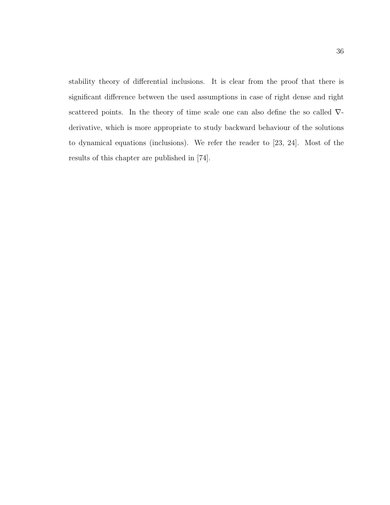stability theory of differential inclusions. It is clear from the proof that there is significant difference between the used assumptions in case of right dense and right scattered points. In the theory of time scale one can also define the so called  $\nabla$ derivative, which is more appropriate to study backward behaviour of the solutions to dynamical equations (inclusions). We refer the reader to [23, 24]. Most of the results of this chapter are published in [74].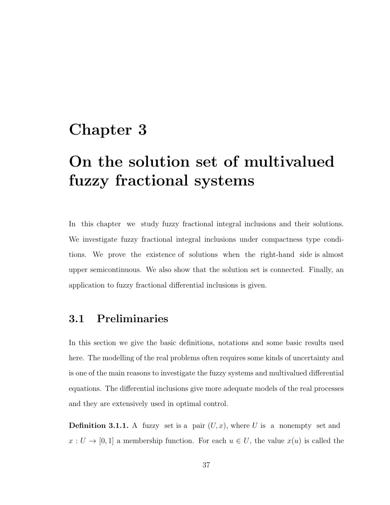## Chapter 3

# On the solution set of multivalued fuzzy fractional systems

In this chapter we study fuzzy fractional integral inclusions and their solutions. We investigate fuzzy fractional integral inclusions under compactness type conditions. We prove the existence of solutions when the right-hand side is almost upper semicontinuous. We also show that the solution set is connected. Finally, an application to fuzzy fractional differential inclusions is given.

### 3.1 Preliminaries

In this section we give the basic definitions, notations and some basic results used here. The modelling of the real problems often requires some kinds of uncertainty and is one of the main reasons to investigate the fuzzy systems and multivalued differential equations. The differential inclusions give more adequate models of the real processes and they are extensively used in optimal control.

**Definition 3.1.1.** A fuzzy set is a pair  $(U, x)$ , where U is a nonempty set and  $x: U \to [0,1]$  a membership function. For each  $u \in U$ , the value  $x(u)$  is called the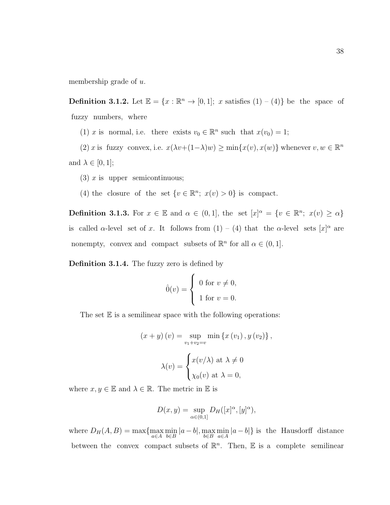membership grade of u.

**Definition 3.1.2.** Let  $\mathbb{E} = \{x : \mathbb{R}^n \to [0,1]; x \text{ satisfies } (1) - (4)\}\$  be the space of fuzzy numbers, where

(1) x is normal, i.e. there exists  $v_0 \in \mathbb{R}^n$  such that  $x(v_0) = 1$ ;

(2) x is fuzzy convex, i.e.  $x(\lambda v + (1-\lambda)w) \ge \min\{x(v), x(w)\}\$  whenever  $v, w \in \mathbb{R}^n$ and  $\lambda \in [0,1]$ ;

- (3)  $x$  is upper semicontinuous;
- (4) the closure of the set  $\{v \in \mathbb{R}^n; x(v) > 0\}$  is compact.

**Definition 3.1.3.** For  $x \in \mathbb{E}$  and  $\alpha \in (0,1]$ , the set  $[x]^{\alpha} = \{v \in \mathbb{R}^n; x(v) \geq \alpha\}$ is called α-level set of x. It follows from  $(1) - (4)$  that the α-level sets  $[x]^{\alpha}$  are nonempty, convex and compact subsets of  $\mathbb{R}^n$  for all  $\alpha \in (0, 1]$ .

Definition 3.1.4. The fuzzy zero is defined by

$$
\hat{0}(v) = \begin{cases} 0 \text{ for } v \neq 0, \\ 1 \text{ for } v = 0. \end{cases}
$$

The set  $E$  is a semilinear space with the following operations:

$$
(x + y) (v) = \sup_{v_1 + v_2 = v} \min \{x (v_1), y (v_2)\},
$$

$$
\lambda(v) = \begin{cases} x(v/\lambda) \text{ at } \lambda \neq 0\\ \chi_0(v) \text{ at } \lambda = 0, \end{cases}
$$

where  $x, y \in \mathbb{E}$  and  $\lambda \in \mathbb{R}$ . The metric in  $\mathbb E$  is

$$
D(x,y) = \sup_{\alpha \in (0,1]} D_H([x]^\alpha, [y]^\alpha),
$$

where  $D_H(A, B) = \max\{\max_{a \in A} \min_{b \in B} |a - b|, \max_{b \in B} \min_{a \in A} |a - b|\}$  is the Hausdorff distance between the convex compact subsets of  $\mathbb{R}^n$ . Then, E is a complete semilinear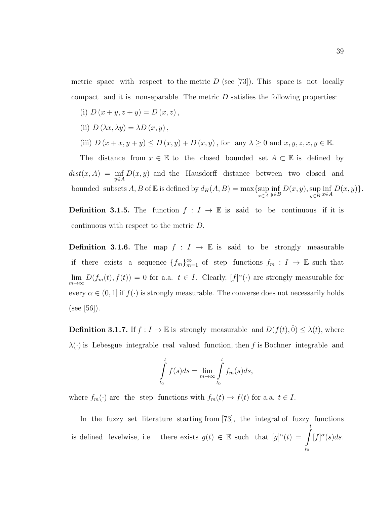metric space with respect to the metric  $D$  (see [73]). This space is not locally compact and it is nonseparable. The metric  $D$  satisfies the following properties:

- (i)  $D(x + y, z + y) = D(x, z),$
- (ii)  $D(\lambda x, \lambda y) = \lambda D(x, y)$ ,

(iii) 
$$
D(x + \overline{x}, y + \overline{y}) \le D(x, y) + D(\overline{x}, \overline{y})
$$
, for any  $\lambda \ge 0$  and  $x, y, z, \overline{x}, \overline{y} \in \mathbb{E}$ .

The distance from  $x \in \mathbb{E}$  to the closed bounded set  $A \subset \mathbb{E}$  is defined by  $dist(x, A) = \inf_{y \in A} D(x, y)$  and the Hausdorff distance between two closed and bounded subsets  $A, B$  of  $E$  is defined by  $d_H(A, B) = \max\{\sup_{x \in A}$  $\inf_{y\in B} D(x, y), \sup_{y\in B}$  $y \in B$  $\inf_{x\in A} D(x,y)\}.$ 

**Definition 3.1.5.** The function  $f : I \to \mathbb{E}$  is said to be continuous if it is continuous with respect to the metric  $D$ .

**Definition 3.1.6.** The map  $f : I \to \mathbb{E}$  is said to be strongly measurable if there exists a sequence  ${f_m}_{m=1}^{\infty}$  of step functions  $f_m : I \to \mathbb{E}$  such that  $\lim_{m\to\infty} D(f_m(t), f(t)) = 0$  for a.a.  $t \in I$ . Clearly,  $[f]^\alpha(\cdot)$  are strongly measurable for every  $\alpha \in (0,1]$  if  $f(\cdot)$  is strongly measurable. The converse does not necessarily holds  $(see [56]).$ 

**Definition 3.1.7.** If  $f : I \to \mathbb{E}$  is strongly measurable and  $D(f(t), 0) \leq \lambda(t)$ , where  $\lambda(\cdot)$  is Lebesgue integrable real valued function, then f is Bochner integrable and

$$
\int_{t_0}^t f(s)ds = \lim_{m \to \infty} \int_{t_0}^t f_m(s)ds,
$$

where  $f_m(\cdot)$  are the step functions with  $f_m(t) \to f(t)$  for a.a.  $t \in I$ .

In the fuzzy set literature starting from  $[73]$ , the integral of fuzzy functions is defined levelwise, i.e. there exists  $g(t) \in \mathbb{E}$  such that  $[g]^{\alpha}(t) = \int_{0}^{t}$  $t_0$  $[f]^\alpha(s)ds.$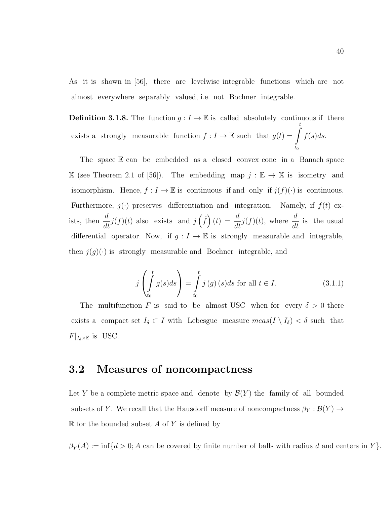As it is shown in [56], there are levelwise integrable functions which are not almost everywhere separably valued, i.e. not Bochner integrable.

**Definition 3.1.8.** The function  $g: I \to \mathbb{E}$  is called absolutely continuous if there exists a strongly measurable function  $f : I \to \mathbb{E}$  such that  $g(t) = \int_0^t$  $t_0$  $f(s)ds$ .

The space  $E$  can be embedded as a closed convex cone in a Banach space X (see Theorem 2.1 of [56]). The embedding map  $j : \mathbb{E} \to \mathbb{X}$  is isometry and isomorphism. Hence,  $f : I \to \mathbb{E}$  is continuous if and only if  $j(f)(\cdot)$  is continuous. Furthermore,  $j(\cdot)$  preserves differentiation and integration. Namely, if  $\dot{f}(t)$  exists, then  $\frac{d}{dt}$  $\frac{d}{dt}j(f)(t)$  also exists and  $j(\dot{f})(t) = \frac{d}{dt}j(f)(t)$ , where  $\frac{d}{dt}$  is the usual differential operator. Now, if  $g: I \to \mathbb{E}$  is strongly measurable and integrable, then  $j(g)(.)$  is strongly measurable and Bochner integrable, and

$$
j\left(\int_{t_0}^t g(s)ds\right) = \int_{t_0}^t j\left(g\right)(s)ds \text{ for all } t \in I.
$$
 (3.1.1)

The multifunction F is said to be almost USC when for every  $\delta > 0$  there exists a compact set  $I_\delta \subset I$  with Lebesgue measure  $meas(I \setminus I_\delta) < \delta$  such that  $F|_{I_{\delta}\times\mathbb{E}}$  is USC.

### 3.2 Measures of noncompactness

Let Y be a complete metric space and denote by  $\mathcal{B}(Y)$  the family of all bounded subsets of Y. We recall that the Hausdorff measure of noncompactness  $\beta_Y : \mathcal{B}(Y) \to$  $\mathbb R$  for the bounded subset A of Y is defined by

 $\beta_Y(A) := \inf\{d > 0; A$  can be covered by finite number of balls with radius d and centers in Y $\}.$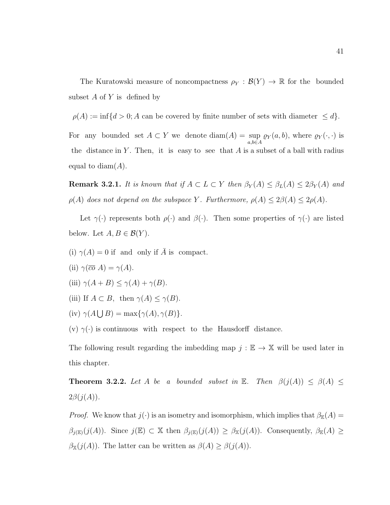The Kuratowski measure of noncompactness  $\rho_Y : \mathcal{B}(Y) \to \mathbb{R}$  for the bounded subset  $A$  of  $Y$  is defined by

 $\rho(A) := \inf\{d > 0; A$  can be covered by finite number of sets with diameter  $\leq d\}.$ 

For any bounded set  $A \subset Y$  we denote  $\text{diam}(A) = \text{sup}$ a,b∈A  $\varrho_Y(a, b)$ , where  $\varrho_Y(\cdot, \cdot)$  is the distance in Y. Then, it is easy to see that A is a subset of a ball with radius equal to  $diam(A)$ .

**Remark 3.2.1.** It is known that if  $A \subset L \subset Y$  then  $\beta_Y(A) \leq \beta_L(A) \leq 2\beta_Y(A)$  and  $\rho(A)$  does not depend on the subspace Y. Furthermore,  $\rho(A) \leq 2\beta(A) \leq 2\rho(A)$ .

Let  $\gamma(\cdot)$  represents both  $\rho(\cdot)$  and  $\beta(\cdot)$ . Then some properties of  $\gamma(\cdot)$  are listed below. Let  $A, B \in \mathcal{B}(Y)$ .

- (i)  $\gamma(A) = 0$  if and only if  $\overline{A}$  is compact.
- (ii)  $\gamma(\overline{co} A) = \gamma(A)$ .
- (iii)  $\gamma(A+B) \leq \gamma(A) + \gamma(B)$ .
- (iii) If  $A \subset B$ , then  $\gamma(A) \leq \gamma(B)$ .
- (iv)  $\gamma(A \cup B) = \max{\gamma(A), \gamma(B)}.$

(v)  $\gamma(\cdot)$  is continuous with respect to the Hausdorff distance.

The following result regarding the imbedding map  $j : \mathbb{E} \to \mathbb{X}$  will be used later in this chapter.

**Theorem 3.2.2.** Let A be a bounded subset in E. Then  $\beta(j(A)) \leq \beta(A) \leq$  $2\beta(j(A)).$ 

*Proof.* We know that  $j(\cdot)$  is an isometry and isomorphism, which implies that  $\beta_{\mathbb{E}}(A) =$  $\beta_{j(\mathbb{E})}(j(A))$ . Since  $j(\mathbb{E}) \subset \mathbb{X}$  then  $\beta_{j(\mathbb{E})}(j(A)) \geq \beta_{\mathbb{X}}(j(A))$ . Consequently,  $\beta_{\mathbb{E}}(A) \geq$  $\beta_{\mathbb{X}}(j(A))$ . The latter can be written as  $\beta(A) \geq \beta(j(A))$ .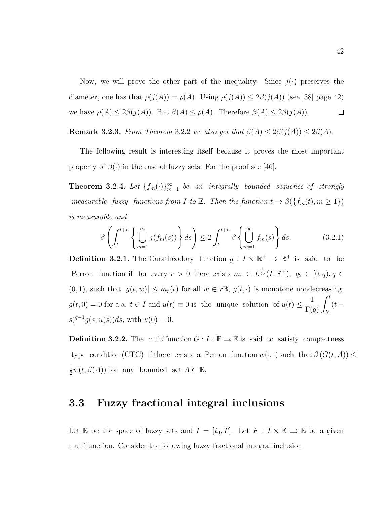Now, we will prove the other part of the inequality. Since  $j(\cdot)$  preserves the diameter, one has that  $\rho(j(A)) = \rho(A)$ . Using  $\rho(j(A)) \leq 2\beta(j(A))$  (see [38] page 42) we have  $\rho(A) \leq 2\beta(j(A))$ . But  $\beta(A) \leq \rho(A)$ . Therefore  $\beta(A) \leq 2\beta(j(A))$ .  $\Box$ 

**Remark 3.2.3.** From Theorem 3.2.2 we also get that  $\beta(A) \leq 2\beta(j(A)) \leq 2\beta(A)$ .

The following result is interesting itself because it proves the most important property of  $\beta(\cdot)$  in the case of fuzzy sets. For the proof see [46].

**Theorem 3.2.4.** Let  $\{f_m(\cdot)\}_{m=1}^{\infty}$  be an integrally bounded sequence of strongly measurable fuzzy functions from I to E. Then the function  $t \to \beta({f_m(t), m \ge 1})$ is measurable and

$$
\beta \left( \int_{t}^{t+h} \left\{ \bigcup_{m=1}^{\infty} j(f_m(s)) \right\} ds \right) \le 2 \int_{t}^{t+h} \beta \left\{ \bigcup_{m=1}^{\infty} f_m(s) \right\} ds. \tag{3.2.1}
$$

**Definition 3.2.1.** The Carather dodory function  $g: I \times \mathbb{R}^+ \to \mathbb{R}^+$  is said to be Perron function if for every  $r > 0$  there exists  $m_r \in L^{\frac{1}{q_2}}(I,\mathbb{R}^+), q_2 \in [0,q), q \in$  $(0, 1)$ , such that  $|g(t, w)| \leq m_r(t)$  for all  $w \in r \mathbb{B}$ ,  $g(t, \cdot)$  is monotone nondecreasing,  $g(t,0) = 0$  for a.a.  $t \in I$  and  $u(t) \equiv 0$  is the unique solution of  $u(t) \leq \frac{1}{T}$  $\Gamma(q)$  $\int_0^t$  $t_0$  $(t (s)^{q-1}g(s, u(s))ds$ , with  $u(0) = 0$ .

**Definition 3.2.2.** The multifunction  $G : I \times \mathbb{E} \rightrightarrows \mathbb{E}$  is said to satisfy compactness type condition (CTC) if there exists a Perron function  $w(\cdot, \cdot)$  such that  $\beta(G(t, A)) \leq$  $\frac{1}{2}w(t,\beta(A))$  for any bounded set  $A \subset \mathbb{E}$ .

### 3.3 Fuzzy fractional integral inclusions

Let E be the space of fuzzy sets and  $I = [t_0, T]$ . Let  $F : I \times E \rightrightarrows E$  be a given multifunction. Consider the following fuzzy fractional integral inclusion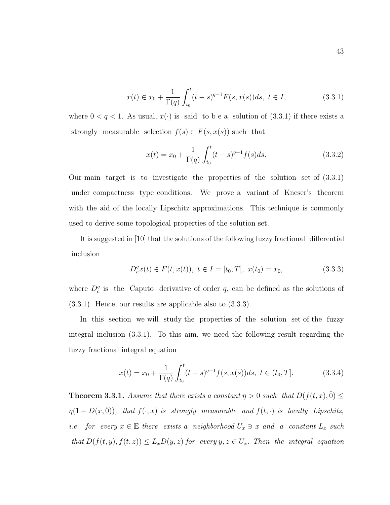$$
x(t) \in x_0 + \frac{1}{\Gamma(q)} \int_{t_0}^t (t-s)^{q-1} F(s, x(s)) ds, \ t \in I,
$$
\n(3.3.1)

where  $0 < q < 1$ . As usual,  $x(\cdot)$  is said to be a solution of (3.3.1) if there exists a strongly measurable selection  $f(s) \in F(s, x(s))$  such that

$$
x(t) = x_0 + \frac{1}{\Gamma(q)} \int_{t_0}^t (t - s)^{q-1} f(s) ds.
$$
 (3.3.2)

Our main target is to investigate the properties of the solution set of  $(3.3.1)$ under compactness type conditions. We prove a variant of Kneser's theorem with the aid of the locally Lipschitz approximations. This technique is commonly used to derive some topological properties of the solution set.

It is suggested in [10] that the solutions of the following fuzzy fractional differential inclusion

$$
D_c^q x(t) \in F(t, x(t)), \ t \in I = [t_0, T], \ x(t_0) = x_0,
$$
\n(3.3.3)

where  $D_c^q$  is the Caputo derivative of order q, can be defined as the solutions of (3.3.1). Hence, our results are applicable also to (3.3.3).

In this section we will study the properties of the solution set of the fuzzy integral inclusion (3.3.1). To this aim, we need the following result regarding the fuzzy fractional integral equation

$$
x(t) = x_0 + \frac{1}{\Gamma(q)} \int_{t_0}^t (t - s)^{q-1} f(s, x(s)) ds, \ t \in (t_0, T]. \tag{3.3.4}
$$

**Theorem 3.3.1.** Assume that there exists a constant  $\eta > 0$  such that  $D(f(t, x), \hat{0}) \leq$  $\eta(1 + D(x, \hat{0}))$ , that  $f(\cdot, x)$  is strongly measurable and  $f(t, \cdot)$  is locally Lipschitz, i.e. for every  $x \in \mathbb{E}$  there exists a neighborhood  $U_x \ni x$  and a constant  $L_x$  such that  $D(f(t, y), f(t, z)) \leq L_x D(y, z)$  for every  $y, z \in U_x$ . Then the integral equation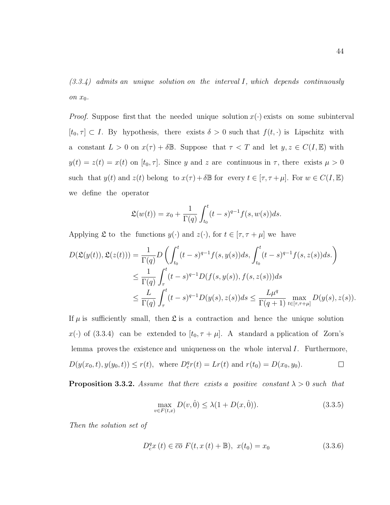$(3.3.4)$  admits an unique solution on the interval I, which depends continuously on  $x_0$ .

*Proof.* Suppose first that the needed unique solution  $x(\cdot)$  exists on some subinterval  $[t_0, \tau] \subset I$ . By hypothesis, there exists  $\delta > 0$  such that  $f(t, \cdot)$  is Lipschitz with a constant  $L > 0$  on  $x(\tau) + \delta \mathbb{B}$ . Suppose that  $\tau < T$  and let  $y, z \in C(I, \mathbb{E})$  with  $y(t) = z(t) = x(t)$  on  $[t_0, \tau]$ . Since y and z are continuous in  $\tau$ , there exists  $\mu > 0$ such that  $y(t)$  and  $z(t)$  belong to  $x(\tau) + \delta \mathbb{B}$  for every  $t \in [\tau, \tau + \mu]$ . For  $w \in C(I, \mathbb{E})$ we define the operator

$$
\mathfrak{L}(w(t)) = x_0 + \frac{1}{\Gamma(q)} \int_{t_0}^t (t-s)^{q-1} f(s, w(s)) ds.
$$

Applying  $\mathfrak L$  to the functions  $y(\cdot)$  and  $z(\cdot)$ , for  $t \in [\tau, \tau + \mu]$  we have

$$
D(\mathfrak{L}(y(t)), \mathfrak{L}(z(t))) = \frac{1}{\Gamma(q)} D\left(\int_{t_0}^t (t-s)^{q-1} f(s, y(s)) ds, \int_{t_0}^t (t-s)^{q-1} f(s, z(s)) ds.\right)
$$
  

$$
\leq \frac{1}{\Gamma(q)} \int_{\tau}^t (t-s)^{q-1} D(f(s, y(s)), f(s, z(s))) ds
$$
  

$$
\leq \frac{L}{\Gamma(q)} \int_{\tau}^t (t-s)^{q-1} D(y(s), z(s)) ds \leq \frac{L\mu^q}{\Gamma(q+1)} \max_{t \in [\tau, \tau + \mu]} D(y(s), z(s)).
$$

If  $\mu$  is sufficiently small, then  $\mathfrak L$  is a contraction and hence the unique solution  $x(\cdot)$  of (3.3.4) can be extended to  $[t_0, \tau + \mu]$ . A standard a pplication of Zorn's lemma proves the existence and uniqueness on the whole interval  $I$ . Furthermore,  $D(y(x_0, t), y(y_0, t)) \le r(t)$ , where  $D_c^q r(t) = Lr(t)$  and  $r(t_0) = D(x_0, y_0)$ .  $\Box$ 

**Proposition 3.3.2.** Assume that there exists a positive constant  $\lambda > 0$  such that

$$
\max_{v \in F(t,x)} D(v, \hat{0}) \le \lambda (1 + D(x, \hat{0})).
$$
\n(3.3.5)

Then the solution set of

$$
D_c^q x(t) \in \overline{co} F(t, x(t) + \mathbb{B}), \ x(t_0) = x_0 \tag{3.3.6}
$$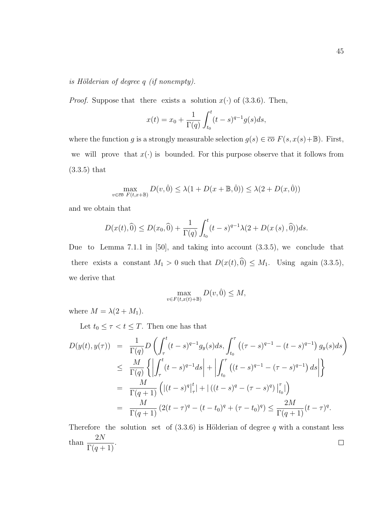#### is Hölderian of degree  $q$  (if nonempty).

*Proof.* Suppose that there exists a solution  $x(\cdot)$  of (3.3.6). Then,

$$
x(t) = x_0 + \frac{1}{\Gamma(q)} \int_{t_0}^t (t - s)^{q-1} g(s) ds,
$$

where the function g is a strongly measurable selection  $g(s) \in \overline{co} F(s, x(s) + \mathbb{B})$ . First, we will prove that  $x(\cdot)$  is bounded. For this purpose observe that it follows from (3.3.5) that

$$
\max_{v \in \overline{co} \ F(t, x + \mathbb{B})} D(v, \hat{0}) \le \lambda (1 + D(x + \mathbb{B}, \hat{0})) \le \lambda (2 + D(x, \hat{0}))
$$

and we obtain that

$$
D(x(t),\widehat{0}) \le D(x_0,\widehat{0}) + \frac{1}{\Gamma(q)} \int_{t_0}^t (t-s)^{q-1} \lambda(2 + D(x(s),\widehat{0})) ds.
$$

Due to Lemma 7.1.1 in [50], and taking into account  $(3.3.5)$ , we conclude that there exists a constant  $M_1 > 0$  such that  $D(x(t),\hat{0}) \leq M_1$ . Using again (3.3.5), we derive that

$$
\max_{v \in F(t, x(t) + \mathbb{B})} D(v, \hat{0}) \le M,
$$

where  $M = \lambda(2 + M_1)$ .

Let  $t_0 \leq \tau < t \leq T$ . Then one has that

$$
D(y(t), y(\tau)) = \frac{1}{\Gamma(q)} D\left(\int_{\tau}^{t} (t-s)^{q-1} g_y(s) ds, \int_{t_0}^{\tau} ((\tau - s)^{q-1} - (t-s)^{q-1}) g_y(s) ds\right)
$$
  
\n
$$
\leq \frac{M}{\Gamma(q)} \left\{ \left| \int_{\tau}^{t} (t-s)^{q-1} ds \right| + \left| \int_{t_0}^{\tau} ((t-s)^{q-1} - (\tau - s)^{q-1}) ds \right| \right\}
$$
  
\n
$$
= \frac{M}{\Gamma(q+1)} \left( |(t-s)^{q}|_{\tau}^{t} | + |((t-s)^{q} - (\tau - s)^{q})|_{t_0}^{\tau} | \right)
$$
  
\n
$$
= \frac{M}{\Gamma(q+1)} (2(t-\tau)^{q} - (t-t_0)^{q} + (\tau - t_0)^{q}) \leq \frac{2M}{\Gamma(q+1)} (t-\tau)^{q}.
$$

Therefore the solution set of  $(3.3.6)$  is Hölderian of degree q with a constant less than  $\frac{2N}{\Gamma(1)}$  $\frac{21}{\Gamma(q+1)}$ .  $\Box$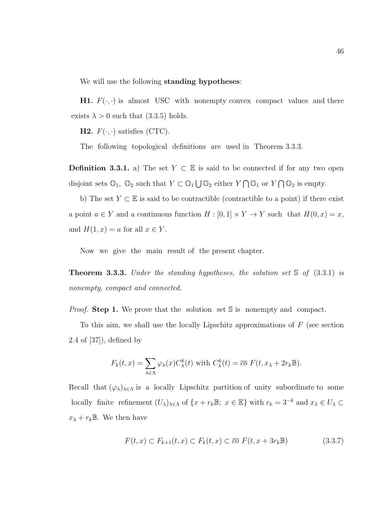We will use the following standing hypotheses:

**H1.**  $F(\cdot, \cdot)$  is almost USC with nonempty convex compact values and there exists  $\lambda > 0$  such that (3.3.5) holds.

**H2.**  $F(\cdot, \cdot)$  satisfies (CTC).

The following topological definitions are used in Theorem 3.3.3.

**Definition 3.3.1.** a) The set  $Y \subset \mathbb{E}$  is said to be connected if for any two open disjoint sets  $\mathbb{O}_1$ ,  $\mathbb{O}_2$  such that  $Y \subset \mathbb{O}_1 \bigcup \mathbb{O}_2$  either  $Y \cap \mathbb{O}_1$  or  $Y \cap \mathbb{O}_2$  is empty.

b) The set  $Y \subset \mathbb{E}$  is said to be contractible (contractible to a point) if there exist a point  $a \in Y$  and a continuous function  $H : [0,1] \times Y \to Y$  such that  $H(0,x) = x$ , and  $H(1, x) = a$  for all  $x \in Y$ .

Now we give the main result of the present chapter.

**Theorem 3.3.3.** Under the standing hypotheses, the solution set  $\Im$  of (3.3.1) is nonempty, compact and connected.

*Proof.* Step 1. We prove that the solution set  $\mathbb{S}$  is nonempty and compact.

To this aim, we shall use the locally Lipschitz approximations of  $F$  (see section 2.4 of [37]), defined by

$$
F_k(t,x) = \sum_{\lambda \in \Lambda} \varphi_\lambda(x) C^k_\lambda(t) \text{ with } C^k_\lambda(t) = \overline{co} \ F(t, x_\lambda + 2r_k \mathbb{B}).
$$

Recall that  $(\varphi_{\lambda})_{\lambda \in \Lambda}$  is a locally Lipschitz partition of unity subordinate to some locally finite refinement  $(U_\lambda)_{\lambda\in\Lambda}$  of  $\{x+r_k\mathbb{B};\ x\in\mathbb{E}\}$  with  $r_k=3^{-k}$  and  $x_\lambda\in U_\lambda\subset$  $x_{\lambda} + r_{k} \mathbb{B}$ . We then have

$$
F(t, x) \subset F_{k+1}(t, x) \subset F_k(t, x) \subset \overline{co} \ F(t, x + 3r_k \mathbb{B})
$$
\n(3.3.7)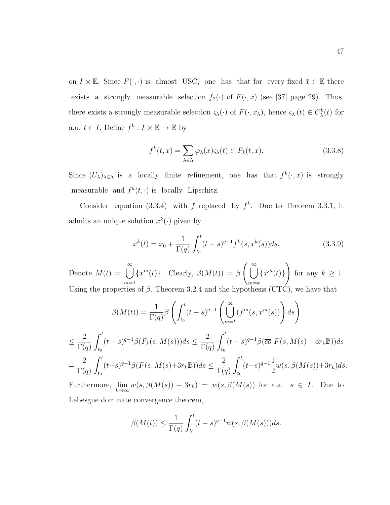on  $I \times \mathbb{E}$ . Since  $F(\cdot, \cdot)$  is almost USC, one has that for every fixed  $\bar{x} \in \mathbb{E}$  there exists a strongly measurable selection  $f_{\bar{x}}(\cdot)$  of  $F(\cdot, \bar{x})$  (see [37] page 29). Thus, there exists a strongly measurable selection  $\varsigma_\lambda(\cdot)$  of  $F(\cdot, x_\lambda)$ , hence  $\varsigma_\lambda(t) \in C^k_\lambda(t)$  for a.a.  $t \in I$ . Define  $f^k : I \times \mathbb{E} \to \mathbb{E}$  by

$$
f^{k}(t,x) = \sum_{\lambda \in \Lambda} \varphi_{\lambda}(x) \varsigma_{\lambda}(t) \in F_{k}(t,x). \tag{3.3.8}
$$

Since  $(U_\lambda)_{\lambda \in \Lambda}$  is a locally finite refinement, one has that  $f^k(\cdot, x)$  is strongly measurable and  $f^k(t, \cdot)$  is locally Lipschitz.

Consider equation (3.3.4) with f replaced by  $f^k$ . Due to Theorem 3.3.1, it admits an unique solution  $x^k(\cdot)$  given by

$$
x^{k}(t) = x_{0} + \frac{1}{\Gamma(q)} \int_{t_{0}}^{t} (t-s)^{q-1} f^{k}(s, x^{k}(s)) ds.
$$
 (3.3.9)

Denote  $M(t) = \bigcup_{k=0}^{\infty}$  $m=1$  ${x^m(t)}$ . Clearly,  $\beta(M(t)) = \beta\left(\bigcup_{k=1}^{\infty} \alpha_k\right)$  $m=$ k  ${x^m(t)}$  $\setminus$ for any  $k \geq 1$ . Using the properties of  $\beta$ , Theorem 3.2.4 and the hypothesis (CTC), we have that

$$
\beta(M(t)) = \frac{1}{\Gamma(q)} \beta \left( \int_{t_0}^t (t-s)^{q-1} \left( \bigcup_{m=k}^{\infty} (f^m(s, x^m(s)) \right) ds \right)
$$
  
\n
$$
\leq \frac{2}{\Gamma(q)} \int_{t_0}^t (t-s)^{q-1} \beta(F_k(s, M(s))) ds \leq \frac{2}{\Gamma(q)} \int_{t_0}^t (t-s)^{q-1} \beta(\overline{co} F(s, M(s) + 3r_k \mathbb{B})) ds
$$
  
\n
$$
= \frac{2}{\Gamma(q)} \int_{t_0}^t (t-s)^{q-1} \beta(F(s, M(s) + 3r_k \mathbb{B})) ds \leq \frac{2}{\Gamma(q)} \int_{t_0}^t (t-s)^{q-1} \frac{1}{2} w(s, \beta(M(s)) + 3r_k) ds.
$$
  
\nFurthermore,  $\lim_{k \to \infty} w(s, \beta(M(s)) + 3r_k) = w(s, \beta(M(s)) \text{ for a.a. } s \in I.$  Due to

Lebesgue dominate convergence theorem,

$$
\beta(M(t)) \le \frac{1}{\Gamma(q)} \int_{t_0}^t (t-s)^{q-1} w(s, \beta(M(s))) ds.
$$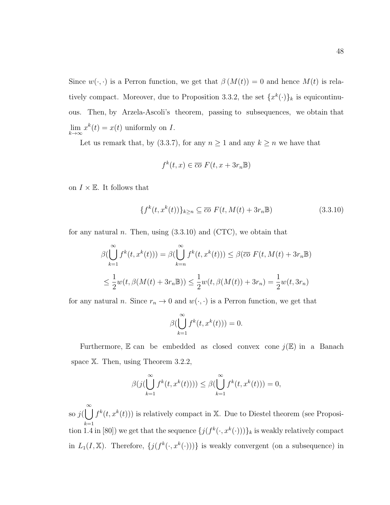Since  $w(\cdot, \cdot)$  is a Perron function, we get that  $\beta(M(t)) = 0$  and hence  $M(t)$  is relatively compact. Moreover, due to Proposition 3.3.2, the set  $\{x^k(\cdot)\}_k$  is equicontinuous. Then, by Arzela-Ascoli's theorem, passing to subsequences, we obtain that  $\lim_{k \to \infty} x^k(t) = x(t)$  uniformly on I.

Let us remark that, by (3.3.7), for any  $n \ge 1$  and any  $k \ge n$  we have that

$$
f^k(t, x) \in \overline{co} \ F(t, x + 3r_n \mathbb{B})
$$

on  $I \times \mathbb{E}$ . It follows that

$$
\{f^k(t, x^k(t))\}_{k\geq n} \subseteq \overline{co} \ F(t, M(t) + 3r_n \mathbb{B}) \tag{3.3.10}
$$

for any natural n. Then, using  $(3.3.10)$  and  $(CTC)$ , we obtain that

$$
\beta(\bigcup_{k=1}^{\infty} f^k(t, x^k(t))) = \beta(\bigcup_{k=n}^{\infty} f^k(t, x^k(t))) \leq \beta(\overline{co} \ F(t, M(t) + 3r_n \mathbb{B})
$$
  

$$
\leq \frac{1}{2}w(t, \beta(M(t) + 3r_n \mathbb{B})) \leq \frac{1}{2}w(t, \beta(M(t)) + 3r_n) = \frac{1}{2}w(t, 3r_n)
$$

for any natural n. Since  $r_n \to 0$  and  $w(\cdot, \cdot)$  is a Perron function, we get that

$$
\beta(\bigcup_{k=1}^{\infty} f^k(t, x^k(t))) = 0.
$$

Furthermore,  $E$  can be embedded as closed convex cone  $j(E)$  in a Banach space  $X$ . Then, using Theorem 3.2.2,

$$
\beta(j(\bigcup_{k=1}^{\infty} f^k(t, x^k(t)))) \leq \beta(\bigcup_{k=1}^{\infty} f^k(t, x^k(t))) = 0,
$$

so  $j(\bigcup_{k=0}^{\infty} f^k(t, x^k(t)))$  is relatively compact in X. Due to Diestel theorem (see Proposi $k=1$ tion 1.4 in [80]) we get that the sequence  $\{j(f^k(\cdot, x^k(\cdot)))\}_k$  is weakly relatively compact in  $L_1(I, \mathbb{X})$ . Therefore,  $\{j(f^k(\cdot, x^k(\cdot)))\}$  is weakly convergent (on a subsequence) in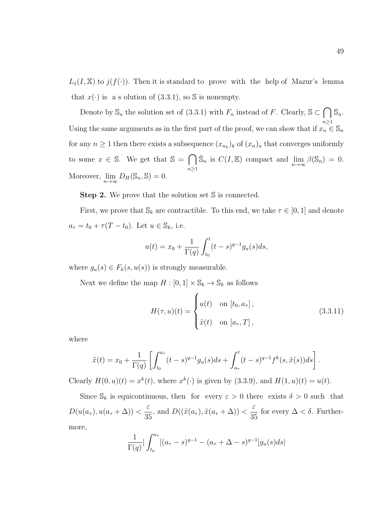$L_1(I, \mathbb{X})$  to  $j(f(\cdot))$ . Then it is standard to prove with the help of Mazur's lemma that  $x(\cdot)$  is a solution of (3.3.1), so S is nonempty.

Denote by  $\mathbb{S}_n$  the solution set of (3.3.1) with  $F_n$  instead of F. Clearly,  $\mathbb{S} \subset \bigcap$  $n\geq 1$  $\mathbb{S}_n$ . Using the same arguments as in the first part of the proof, we can show that if  $x_n \in \mathbb{S}_n$ for any  $n \geq 1$  then there exists a subsequence  $(x_{n_k})_k$  of  $(x_n)_n$  that converges uniformly to some  $x \in \mathbb{S}$ . We get that  $\mathbb{S} = \bigcap$  $n\geq 1$  $\bar{\mathbb{S}}_n$  is  $C(I, \mathbb{E})$  compact and  $\lim_{n \to \infty} \beta(\mathbb{S}_n) = 0$ . Moreover,  $\lim_{n\to\infty} D_H(\mathbb{S}_n, \mathbb{S}) = 0.$ 

Step 2. We prove that the solution set S is connected.

First, we prove that  $\mathcal{S}_k$  are contractible. To this end, we take  $\tau \in [0,1]$  and denote  $a_{\tau} = t_0 + \tau (T - t_0)$ . Let  $u \in \mathbb{S}_k$ , i.e.

$$
u(t) = x_0 + \frac{1}{\Gamma(q)} \int_{t_0}^t (t - s)^{q-1} g_u(s) ds,
$$

where  $g_u(s) \in F_k(s, u(s))$  is strongly measurable.

Next we define the map  $H : [0, 1] \times \mathbb{S}_k \to \mathbb{S}_k$  as follows

$$
H(\tau, u)(t) = \begin{cases} u(t) & \text{on } [t_0, a_\tau], \\ \tilde{x}(t) & \text{on } [a_\tau, T], \end{cases}
$$
 (3.3.11)

where

$$
\tilde{x}(t) = x_0 + \frac{1}{\Gamma(q)} \left[ \int_{t_0}^{a_{\tau}} (t-s)^{q-1} g_u(s) ds + \int_{a_{\tau}}^t (t-s)^{q-1} f^k(s, \tilde{x}(s)) ds \right].
$$

Clearly  $H(0, u)(t) = x^k(t)$ , where  $x^k(\cdot)$  is given by (3.3.9), and  $H(1, u)(t) = u(t)$ .

Since  $\mathbb{S}_k$  is equicontinuous, then for every  $\varepsilon > 0$  there exists  $\delta > 0$  such that  $D(u(a_\tau), u(a_\tau + \Delta))$  < ε  $\frac{3}{35}$ , and  $D((\tilde{x}(a_{\tau}), \tilde{x}(a_{\tau} + \Delta)) <$ ε 35 for every  $\Delta < \delta$ . Furthermore,

$$
\frac{1}{\Gamma(q)} \Big| \int_{t_0}^{a_{\tau}} [(a_{\tau} - s)^{q-1} - (a_{\tau} + \Delta - s)^{q-1}] g_u(s) ds \Big|
$$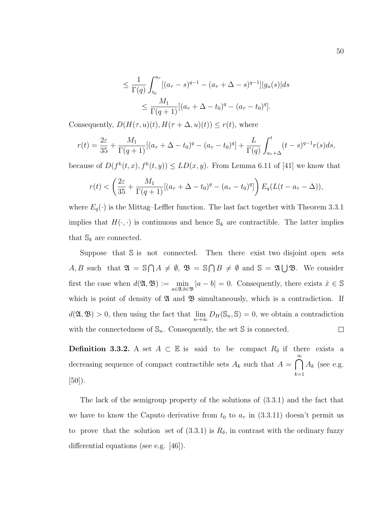$$
\leq \frac{1}{\Gamma(q)} \int_{t_0}^{a_{\tau}} [(a_{\tau} - s)^{q-1} - (a_{\tau} + \Delta - s)^{q-1}] |g_u(s)| ds
$$
  

$$
\leq \frac{M_1}{\Gamma(q+1)} [(a_{\tau} + \Delta - t_0)^q - (a_{\tau} - t_0)^q].
$$

Consequently,  $D(H(\tau, u)(t), H(\tau + \Delta, u)(t)) \leq r(t)$ , where

$$
r(t) = \frac{2\varepsilon}{35} + \frac{M_1}{\Gamma(q+1)}[(a_\tau + \Delta - t_0)^q - (a_\tau - t_0)^q] + \frac{L}{\Gamma(q)} \int_{a_\tau + \Delta}^t (t - s)^{q-1} r(s) ds,
$$

because of  $D(f^k(t, x), f^k(t, y)) \leq LD(x, y)$ . From Lemma 6.11 of [41] we know that

$$
r(t) < \left(\frac{2\varepsilon}{35} + \frac{M_1}{\Gamma(q+1)}[(a_\tau + \Delta - t_0)^q - (a_\tau - t_0)^q]\right) E_q(L(t - a_\tau - \Delta)),
$$

where  $E_q(\cdot)$  is the Mittag–Leffler function. The last fact together with Theorem 3.3.1 implies that  $H(\cdot, \cdot)$  is continuous and hence  $\mathbb{S}_k$  are contractible. The latter implies that  $\mathbb{S}_k$  are connected.

Suppose that  $\mathbb S$  is not connected. Then there exist two disjoint open sets  $A, B$  such that  $\mathfrak{A} = \mathbb{S} \cap A \neq \emptyset$ ,  $\mathfrak{B} = \mathbb{S} \cap B \neq \emptyset$  and  $\mathbb{S} = \mathfrak{A} \cup \mathfrak{B}$ . We consider first the case when  $d(\mathfrak{A}, \mathfrak{B}) := \min_{a \in \mathfrak{A}, b \in \mathfrak{B}} |a - b| = 0$ . Consequently, there exists  $\hat{x} \in \mathbb{S}$ which is point of density of  $\mathfrak A$  and  $\mathfrak B$  simultaneously, which is a contradiction. If  $d(\mathfrak{A}, \mathfrak{B}) > 0$ , then using the fact that  $\lim_{n \to \infty} D_H(\mathbb{S}_n, \mathbb{S}) = 0$ , we obtain a contradiction with the connectedness of  $\mathbb{S}_n$ . Consequently, the set  $\mathbb S$  is connected.  $\Box$ 

**Definition 3.3.2.** A set  $A \subset \mathbb{E}$  is said to be compact  $R_{\delta}$  if there exists a decreasing sequence of compact contractible sets  $A_k$  such that  $A = \bigcap_{k=1}^{\infty} A_k$  (see e.g.  $k=1$ [50]).

The lack of the semigroup property of the solutions of (3.3.1) and the fact that we have to know the Caputo derivative from  $t_0$  to  $a_\tau$  in (3.3.11) doesn't permit us to prove that the solution set of  $(3.3.1)$  is  $R_\delta$ , in contrast with the ordinary fuzzy differential equations (see e.g. [46]).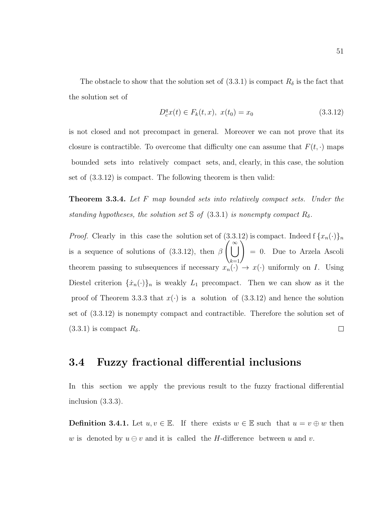The obstacle to show that the solution set of  $(3.3.1)$  is compact  $R_{\delta}$  is the fact that the solution set of

$$
D_c^q x(t) \in F_k(t, x), \ x(t_0) = x_0 \tag{3.3.12}
$$

is not closed and not precompact in general. Moreover we can not prove that its closure is contractible. To overcome that difficulty one can assume that  $F(t, \cdot)$  maps bounded sets into relatively compact sets, and, clearly, in this case, the solution set of (3.3.12) is compact. The following theorem is then valid:

**Theorem 3.3.4.** Let F map bounded sets into relatively compact sets. Under the standing hypotheses, the solution set S of  $(3.3.1)$  is nonempty compact  $R_\delta$ .

*Proof.* Clearly in this case the solution set of  $(3.3.12)$  is compact. Indeed f  $\{x_n(\cdot)\}_n$ is a sequence of solutions of (3.3.12), then  $\beta$   $\left(\bigcup_{k=1}^{\infty}\right)$ = 0. Due to Arzela Ascoli theorem passing to subsequences if necessary  $x_n(\cdot) \to x(\cdot)$  uniformly on I. Using Diestel criterion  $\{\dot{x}_n(\cdot)\}_n$  is weakly  $L_1$  precompact. Then we can show as it the proof of Theorem 3.3.3 that  $x(\cdot)$  is a solution of (3.3.12) and hence the solution set of (3.3.12) is nonempty compact and contractible. Therefore the solution set of  $\Box$  $(3.3.1)$  is compact  $R_{\delta}$ .

### 3.4 Fuzzy fractional differential inclusions

In this section we apply the previous result to the fuzzy fractional differential inclusion (3.3.3).

**Definition 3.4.1.** Let  $u, v \in \mathbb{E}$ . If there exists  $w \in \mathbb{E}$  such that  $u = v \oplus w$  then w is denoted by  $u \ominus v$  and it is called the H-difference between u and v.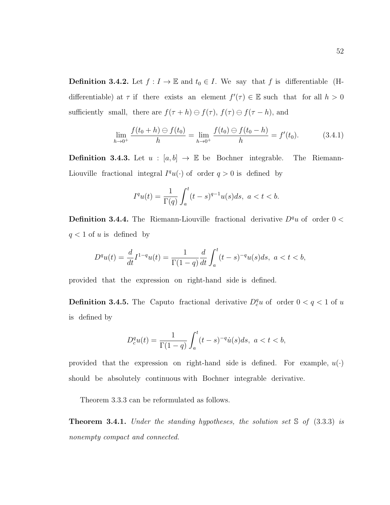**Definition 3.4.2.** Let  $f: I \to \mathbb{E}$  and  $t_0 \in I$ . We say that f is differentiable (Hdifferentiable) at  $\tau$  if there exists an element  $f'(\tau) \in \mathbb{E}$  such that for all  $h > 0$ sufficiently small, there are  $f(\tau + h) \ominus f(\tau)$ ,  $f(\tau) \ominus f(\tau - h)$ , and

$$
\lim_{h \to 0^+} \frac{f(t_0 + h) \ominus f(t_0)}{h} = \lim_{h \to 0^+} \frac{f(t_0) \ominus f(t_0 - h)}{h} = f'(t_0).
$$
 (3.4.1)

**Definition 3.4.3.** Let  $u : [a, b] \rightarrow \mathbb{E}$  be Bochner integrable. The Riemann-Liouville fractional integral  $I^q u(\cdot)$  of order  $q > 0$  is defined by

$$
I^{q}u(t) = \frac{1}{\Gamma(q)} \int_{a}^{t} (t-s)^{q-1} u(s) ds, \ a < t < b.
$$

**Definition 3.4.4.** The Riemann-Liouville fractional derivative  $D^q u$  of order 0 <  $q < 1$  of u is defined by

$$
D^{q}u(t) = \frac{d}{dt}I^{1-q}u(t) = \frac{1}{\Gamma(1-q)}\frac{d}{dt}\int_{a}^{t}(t-s)^{-q}u(s)ds, \ a < t < b,
$$

provided that the expression on right-hand side is defined.

**Definition 3.4.5.** The Caputo fractional derivative  $D_c^q u$  of order  $0 < q < 1$  of u is defined by

$$
D_c^q u(t) = \frac{1}{\Gamma(1-q)} \int_a^t (t-s)^{-q} \dot{u}(s) ds, \ a < t < b,
$$

provided that the expression on right-hand side is defined. For example,  $u(\cdot)$ should be absolutely continuous with Bochner integrable derivative.

Theorem 3.3.3 can be reformulated as follows.

**Theorem 3.4.1.** Under the standing hypotheses, the solution set  $\Im$  of (3.3.3) is nonempty compact and connected.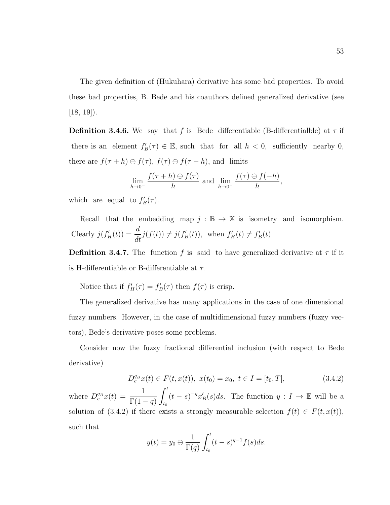The given definition of (Hukuhara) derivative has some bad properties. To avoid these bad properties, B. Bede and his coauthors defined generalized derivative (see  $[18, 19]$ .

**Definition 3.4.6.** We say that f is Bede differentiable (B-differentialble) at  $\tau$  if there is an element  $f'_B(\tau) \in \mathbb{E}$ , such that for all  $h < 0$ , sufficiently nearby 0, there are  $f(\tau + h) \ominus f(\tau)$ ,  $f(\tau) \ominus f(\tau - h)$ , and limits

$$
\lim_{h \to 0^-} \frac{f(\tau + h) \ominus f(\tau)}{h}
$$
 and 
$$
\lim_{h \to 0^-} \frac{f(\tau) \ominus f(-h)}{h},
$$

which are equal to  $f'_B(\tau)$ .

Recall that the embedding map  $j : \mathbb{B} \to \mathbb{X}$  is isometry and isomorphism. Clearly  $j(f'_H(t)) = \frac{d}{dt}j(f(t)) \neq j(f'_B(t)),$  when  $f'_H(t) \neq f'_B(t)$ .

**Definition 3.4.7.** The function f is said to have generalized derivative at  $\tau$  if it is H-differentiable or B-differentiable at  $\tau$ .

Notice that if  $f'_{H}(\tau) = f'_{B}(\tau)$  then  $f(\tau)$  is crisp.

The generalized derivative has many applications in the case of one dimensional fuzzy numbers. However, in the case of multidimensional fuzzy numbers (fuzzy vectors), Bede's derivative poses some problems.

Consider now the fuzzy fractional differential inclusion (with respect to Bede derivative)

$$
D_c^{q_B}x(t) \in F(t, x(t)), \ x(t_0) = x_0, \ t \in I = [t_0, T], \tag{3.4.2}
$$

where  $D_c^{q_B}x(t) = \frac{1}{\Gamma(1-q)}$  $\int_0^t$  $t_0$  $(t-s)^{-q}x'_{B}(s)ds$ . The function  $y: I \to \mathbb{E}$  will be a solution of (3.4.2) if there exists a strongly measurable selection  $f(t) \in F(t, x(t)),$ such that

$$
y(t) = y_0 \ominus \frac{1}{\Gamma(q)} \int_{t_0}^t (t-s)^{q-1} f(s) ds.
$$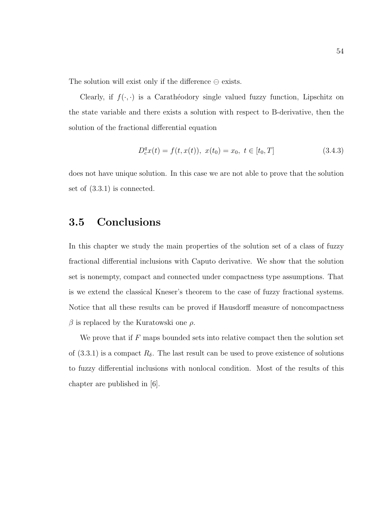The solution will exist only if the difference  $\ominus$  exists.

Clearly, if  $f(\cdot, \cdot)$  is a Caratheodory single valued fuzzy function, Lipschitz on the state variable and there exists a solution with respect to B-derivative, then the solution of the fractional differential equation

$$
D_c^q x(t) = f(t, x(t)), \ x(t_0) = x_0, \ t \in [t_0, T]
$$
\n(3.4.3)

does not have unique solution. In this case we are not able to prove that the solution set of (3.3.1) is connected.

### 3.5 Conclusions

In this chapter we study the main properties of the solution set of a class of fuzzy fractional differential inclusions with Caputo derivative. We show that the solution set is nonempty, compact and connected under compactness type assumptions. That is we extend the classical Kneser's theorem to the case of fuzzy fractional systems. Notice that all these results can be proved if Hausdorff measure of noncompactness  $β$  is replaced by the Kuratowski one  $ρ$ .

We prove that if  $F$  maps bounded sets into relative compact then the solution set of  $(3.3.1)$  is a compact  $R_{\delta}$ . The last result can be used to prove existence of solutions to fuzzy differential inclusions with nonlocal condition. Most of the results of this chapter are published in [6].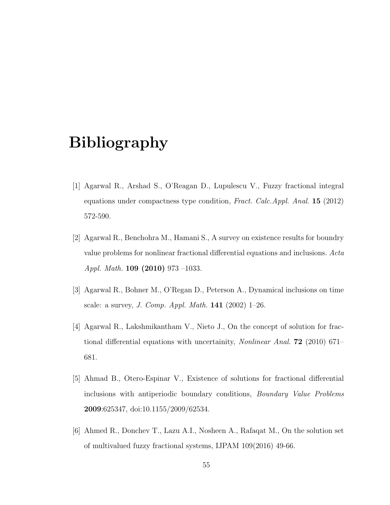# Bibliography

- [1] Agarwal R., Arshad S., O'Reagan D., Lupulescu V., Fuzzy fractional integral equations under compactness type condition, Fract. Calc.Appl. Anal.  $15$  (2012) 572-590.
- [2] Agarwal R., Benchohra M., Hamani S., A survey on existence results for boundry value problems for nonlinear fractional differential equations and inclusions. Acta Appl. Math. 109 (2010) 973 –1033.
- [3] Agarwal R., Bohner M., O'Regan D., Peterson A., Dynamical inclusions on time scale: a survey, *J. Comp. Appl. Math.* **141** (2002)  $1-26$ .
- [4] Agarwal R., Lakshmikantham V., Nieto J., On the concept of solution for fractional differential equations with uncertainity, *Nonlinear Anal.* **72** (2010) 671– 681.
- [5] Ahmad B., Otero-Espinar V., Existence of solutions for fractional differential inclusions with antiperiodic boundary conditions, Boundary Value Problems 2009:625347, doi:10.1155/2009/62534.
- [6] Ahmed R., Donchev T., Lazu A.I., Nosheen A., Rafaqat M., On the solution set of multivalued fuzzy fractional systems, IJPAM 109(2016) 49-66.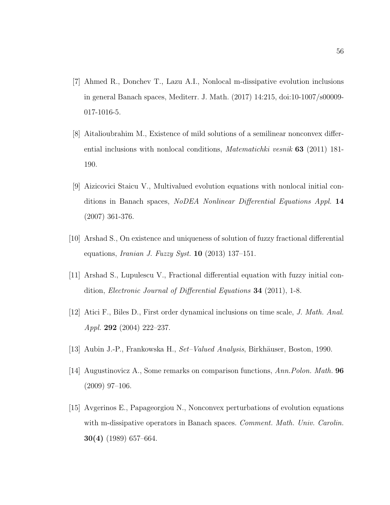- [7] Ahmed R., Donchev T., Lazu A.I., Nonlocal m-dissipative evolution inclusions in general Banach spaces, Mediterr. J. Math. (2017) 14:215, doi:10-1007/s00009- 017-1016-5.
- [8] Aitalioubrahim M., Existence of mild solutions of a semilinear nonconvex differential inclusions with nonlocal conditions, Matematichki vesnik 63 (2011) 181- 190.
- [9] Aizicovici Staicu V., Multivalued evolution equations with nonlocal initial conditions in Banach spaces, NoDEA Nonlinear Differential Equations Appl. 14 (2007) 361-376.
- [10] Arshad S., On existence and uniqueness of solution of fuzzy fractional differential equations, *Iranian J. Fuzzy Syst.* **10** (2013) 137-151.
- [11] Arshad S., Lupulescu V., Fractional differential equation with fuzzy initial condition, Electronic Journal of Differential Equations 34 (2011), 1-8.
- [12] Atici F., Biles D., First order dynamical inclusions on time scale, J. Math. Anal. Appl. 292 (2004) 222–237.
- [13] Aubin J.-P., Frankowska H., Set–Valued Analysis, Birkhäuser, Boston, 1990.
- [14] Augustinovicz A., Some remarks on comparison functions, Ann. Polon. Math. 96 (2009) 97–106.
- [15] Avgerinos E., Papageorgiou N., Nonconvex perturbations of evolution equations with m-dissipative operators in Banach spaces. *Comment. Math. Univ. Carolin.* 30(4) (1989) 657–664.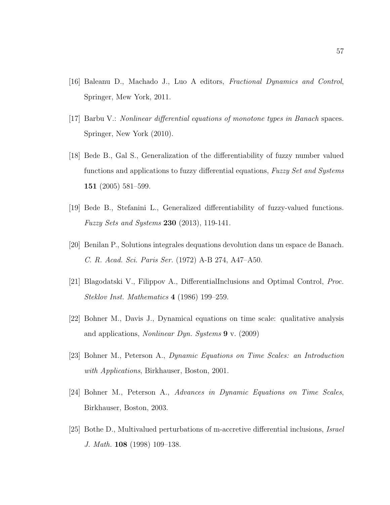- [16] Baleanu D., Machado J., Luo A editors, Fractional Dynamics and Control, Springer, Mew York, 2011.
- [17] Barbu V.: Nonlinear differential equations of monotone types in Banach spaces. Springer, New York (2010).
- [18] Bede B., Gal S., Generalization of the differentiability of fuzzy number valued functions and applications to fuzzy differential equations, Fuzzy Set and Systems 151 (2005) 581–599.
- [19] Bede B., Stefanini L., Generalized differentiability of fuzzy-valued functions. *Fuzzy Sets and Systems* 230  $(2013)$ , 119-141.
- [20] Benilan P., Solutions integrales dequations devolution dans un espace de Banach. C. R. Acad. Sci. Paris Ser. (1972) A-B 274, A47–A50.
- [21] Blagodatski V., Filippov A., DifferentialInclusions and Optimal Control, Proc. Steklov Inst. Mathematics 4 (1986) 199–259.
- [22] Bohner M., Davis J., Dynamical equations on time scale: qualitative analysis and applications, Nonlinear Dyn. Systems 9 v. (2009)
- [23] Bohner M., Peterson A., Dynamic Equations on Time Scales: an Introduction with Applications, Birkhauser, Boston, 2001.
- [24] Bohner M., Peterson A., Advances in Dynamic Equations on Time Scales, Birkhauser, Boston, 2003.
- [25] Bothe D., Multivalued perturbations of m-accretive differential inclusions, Israel J. Math. 108 (1998) 109–138.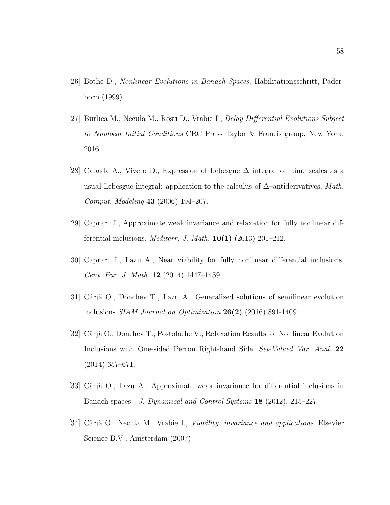- [26] Bothe D., Nonlinear Evolutions in Banach Spaces, Habilitationsschritt, Paderborn (1999).
- [27] Burlica M., Necula M., Rosu D., Vrabie I., Delay Differential Evolutions Subject to Nonlocal Initial Conditions CRC Press Taylor & Francis group, New York, 2016.
- [28] Cabada A., Vivero D., Expression of Lebesgue ∆ integral on time scales as a usual Lebesgue integral: application to the calculus of  $\Delta$ –antiderivatives, Math. Comput. Modeling 43 (2006) 194–207.
- [29] Capraru I., Approximate weak invariance and relaxation for fully nonlinear differential inclusions. *Mediterr. J. Math.*  $10(1)$  (2013) 201–212.
- [30] Capraru I., Lazu A., Near viability for fully nonlinear differential inclusions, Cent. Eur. J. Math. 12 (2014) 1447–1459.
- [31] Cârjă O., Donchev T., Lazu A., Generalized solutions of semilinear evolution inclusions SIAM Journal on Optimization 26(2) (2016) 891-1409.
- [32] Cârjă O., Donchev T., Postolache V., Relaxation Results for Nonlinear Evolution Inclusions with One-sided Perron Right-hand Side. Set-Valued Var. Anal. 22 (2014) 657–671.
- [33] Cârjă O., Lazu A., Approximate weak invariance for differential inclusions in Banach spaces.: *J. Dynamical and Control Systems* 18 (2012), 215–227
- [34] Cârjă O., Necula M., Vrabie I., *Viability, invariance and applications*. Elsevier Science B.V., Amsterdam (2007)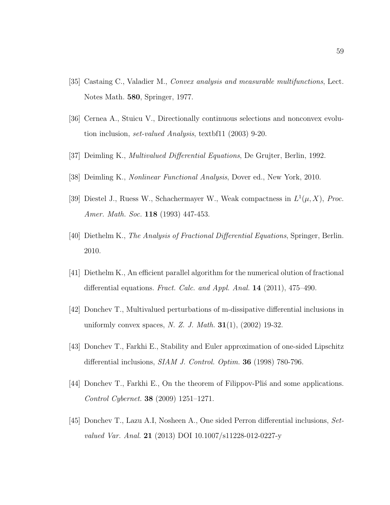- [35] Castaing C., Valadier M., Convex analysis and measurable multifunctions, Lect. Notes Math. 580, Springer, 1977.
- [36] Cernea A., Stuicu V., Directionally continuous selections and nonconvex evolution inclusion, set-valued Analysis, textbf11 (2003) 9-20.
- [37] Deimling K., Multivalued Differential Equations, De Grujter, Berlin, 1992.
- [38] Deimling K., Nonlinear Functional Analysis, Dover ed., New York, 2010.
- [39] Diestel J., Ruess W., Schachermayer W., Weak compactness in  $L^1(\mu, X)$ , Proc. Amer. Math. Soc. **118** (1993) 447-453.
- [40] Diethelm K., The Analysis of Fractional Differential Equations, Springer, Berlin. 2010.
- [41] Diethelm K., An efficient parallel algorithm for the numerical olution of fractional differential equations. Fract. Calc. and Appl. Anal. 14 (2011), 475–490.
- [42] Donchev T., Multivalued perturbations of m-dissipative differential inclusions in uniformly convex spaces, *N. Z. J. Math.*  $31(1)$ ,  $(2002)$  19-32.
- [43] Donchev T., Farkhi E., Stability and Euler approximation of one-sided Lipschitz differential inclusions, *SIAM J. Control. Optim.* **36** (1998) 780-796.
- [44] Donchev T., Farkhi E., On the theorem of Filippov-Plist and some applications. Control Cybernet. 38 (2009) 1251–1271.
- [45] Donchev T., Lazu A.I, Nosheen A., One sided Perron differential inclusions, Setvalued Var. Anal. **21** (2013) DOI 10.1007/s11228-012-0227-y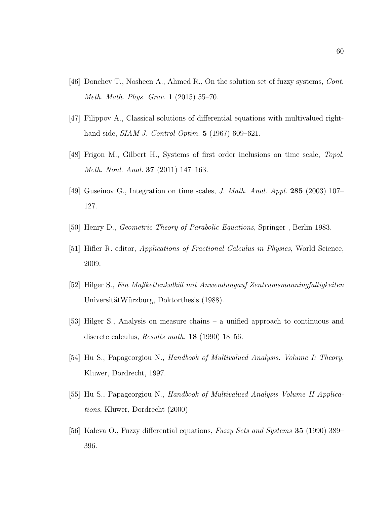- [46] Donchev T., Nosheen A., Ahmed R., On the solution set of fuzzy systems, Cont. Meth. Math. Phys. Grav. 1 (2015) 55–70.
- [47] Filippov A., Classical solutions of differential equations with multivalued righthand side, *SIAM J. Control Optim.* **5** (1967) 609–621.
- [48] Frigon M., Gilbert H., Systems of first order inclusions on time scale, Topol. Meth. Nonl. Anal. 37 (2011) 147–163.
- [49] Guseinov G., Integration on time scales, J. Math. Anal. Appl. 285 (2003) 107– 127.
- [50] Henry D., Geometric Theory of Parabolic Equations, Springer , Berlin 1983.
- [51] Hifler R. editor, Applications of Fractional Calculus in Physics, World Science, 2009.
- [52] Hilger S., Ein Maßkettenkalk¨ul mit Anwendungauf Zentrumsmanningfaltigkeiten UniversitätWürzburg, Doktorthesis (1988).
- [53] Hilger S., Analysis on measure chains a unified approach to continuous and discrete calculus, Results math. 18 (1990) 18–56.
- [54] Hu S., Papageorgiou N., Handbook of Multivalued Analysis. Volume I: Theory, Kluwer, Dordrecht, 1997.
- [55] Hu S., Papageorgiou N., Handbook of Multivalued Analysis Volume II Applications, Kluwer, Dordrecht (2000)
- [56] Kaleva O., Fuzzy differential equations, Fuzzy Sets and Systems 35 (1990) 389– 396.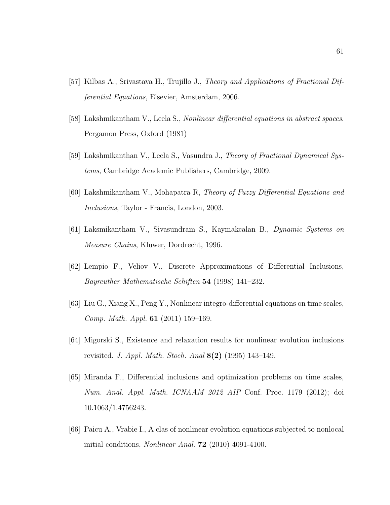- [57] Kilbas A., Srivastava H., Trujillo J., Theory and Applications of Fractional Differential Equations, Elsevier, Amsterdam, 2006.
- [58] Lakshmikantham V., Leela S., Nonlinear differential equations in abstract spaces. Pergamon Press, Oxford (1981)
- [59] Lakshmikanthan V., Leela S., Vasundra J., Theory of Fractional Dynamical Systems, Cambridge Academic Publishers, Cambridge, 2009.
- [60] Lakshmikantham V., Mohapatra R, Theory of Fuzzy Differential Equations and Inclusions, Taylor - Francis, London, 2003.
- [61] Laksmikantham V., Sivasundram S., Kaymakcalan B., Dynamic Systems on Measure Chains, Kluwer, Dordrecht, 1996.
- [62] Lempio F., Veliov V., Discrete Approximations of Differential Inclusions, Bayreuther Mathematische Schiften 54 (1998) 141–232.
- [63] Liu G., Xiang X., Peng Y., Nonlinear integro-differential equations on time scales, Comp. Math. Appl. 61 (2011) 159–169.
- [64] Migorski S., Existence and relaxation results for nonlinear evolution inclusions revisited. J. Appl. Math. Stoch. Anal 8(2) (1995) 143–149.
- [65] Miranda F., Differential inclusions and optimization problems on time scales, Num. Anal. Appl. Math. ICNAAM 2012 AIP Conf. Proc. 1179 (2012); doi 10.1063/1.4756243.
- [66] Paicu A., Vrabie I., A clas of nonlinear evolution equations subjected to nonlocal initial conditions, Nonlinear Anal. 72 (2010) 4091-4100.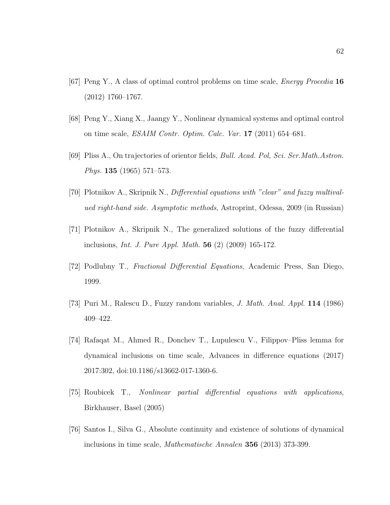- [67] Peng Y., A class of optimal control problems on time scale, Energy Procedia 16 (2012) 1760–1767.
- [68] Peng Y., Xiang X., Jaangy Y., Nonlinear dynamical systems and optimal control on time scale, ESAIM Contr. Optim. Calc. Var. 17 (2011) 654–681.
- [69] Pliss A., On trajectories of orientor fields, Bull. Acad. Pol, Sci. Ser.Math.Astron. Phys.  $135$  (1965) 571–573.
- [70] Plotnikov A., Skripnik N., Differential equations with "clear" and fuzzy multivalued right-hand side. Asymptotic methods, Astroprint, Odessa, 2009 (in Russian)
- [71] Plotnikov A., Skripnik N., The generalized solutions of the fuzzy differential inclusions, Int. J. Pure Appl. Math. 56 (2) (2009) 165-172.
- [72] Podlubny T., Fractional Differential Equations, Academic Press, San Diego, 1999.
- [73] Puri M., Ralescu D., Fuzzy random variables, J. Math. Anal. Appl. 114 (1986) 409–422.
- [74] Rafaqat M., Ahmed R., Donchev T., Lupulescu V., Filippov–Pliss lemma for dynamical inclusions on time scale, Advances in difference equations (2017) 2017:302, doi:10.1186/s13662-017-1360-6.
- [75] Roubicek T., Nonlinear partial differential equations with applications, Birkhauser, Basel (2005)
- [76] Santos I., Silva G., Absolute continuity and existence of solutions of dynamical inclusions in time scale, Mathematische Annalen 356 (2013) 373-399.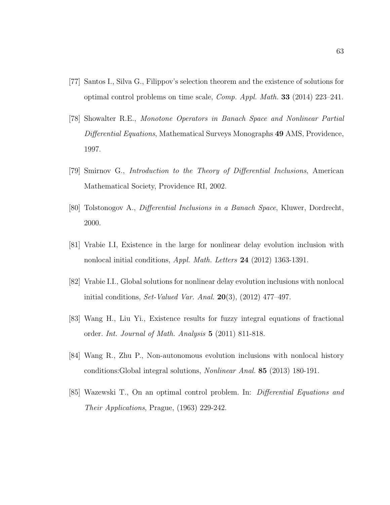- [77] Santos I., Silva G., Filippov's selection theorem and the existence of solutions for optimal control problems on time scale, Comp. Appl. Math. 33 (2014) 223–241.
- [78] Showalter R.E., Monotone Operators in Banach Space and Nonlinear Partial Differential Equations, Mathematical Surveys Monographs 49 AMS, Providence, 1997.
- [79] Smirnov G., Introduction to the Theory of Differential Inclusions, American Mathematical Society, Providence RI, 2002.
- [80] Tolstonogov A., Differential Inclusions in a Banach Space, Kluwer, Dordrecht, 2000.
- [81] Vrabie I.I, Existence in the large for nonlinear delay evolution inclusion with nonlocal initial conditions, Appl. Math. Letters 24 (2012) 1363-1391.
- [82] Vrabie I.I., Global solutions for nonlinear delay evolution inclusions with nonlocal initial conditions, Set-Valued Var. Anal.  $20(3)$ ,  $(2012)$  477–497.
- [83] Wang H., Liu Yi., Existence results for fuzzy integral equations of fractional order. Int. Journal of Math. Analysis 5 (2011) 811-818.
- [84] Wang R., Zhu P., Non-autonomous evolution inclusions with nonlocal history conditions:Global integral solutions, Nonlinear Anal. 85 (2013) 180-191.
- [85] Wazewski T., On an optimal control problem. In: Differential Equations and Their Applications, Prague, (1963) 229-242.